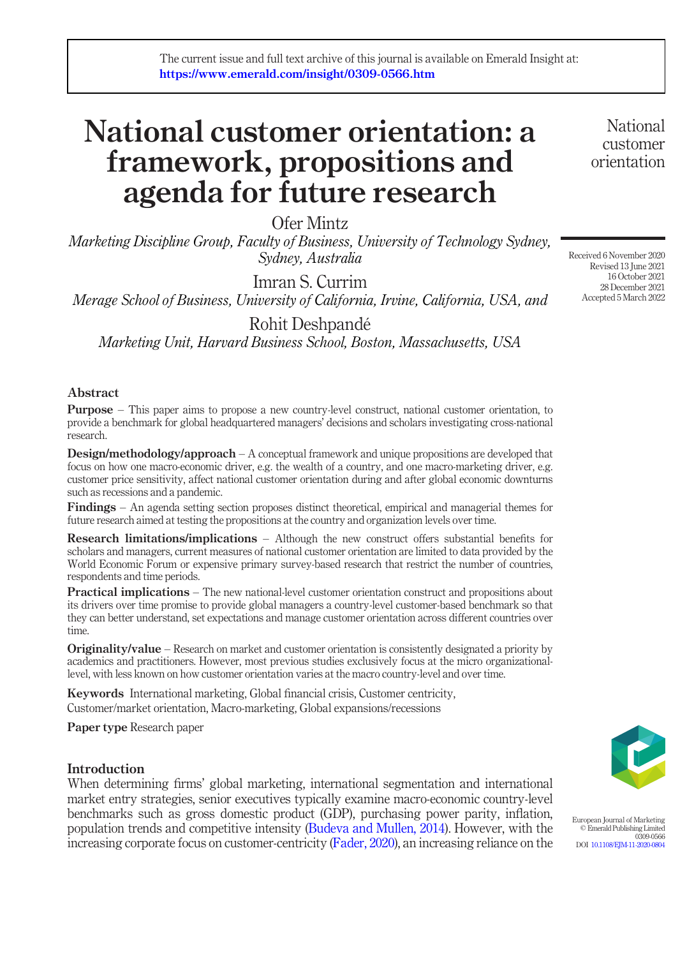# National customer orientation: a framework, propositions and agenda for future research

Ofer Mintz

Marketing Discipline Group, Faculty of Business, University of Technology Sydney, Sydney, Australia

Imran S. Currim Merage School of Business, University of California, Irvine, California, USA, and

Rohit Deshpandé Marketing Unit, Harvard Business School, Boston, Massachusetts, USA

# Abstract

Purpose – This paper aims to propose a new country-level construct, national customer orientation, to provide a benchmark for global headquartered managers' decisions and scholars investigating cross-national research.

Design/methodology/approach – A conceptual framework and unique propositions are developed that focus on how one macro-economic driver, e.g. the wealth of a country, and one macro-marketing driver, e.g. customer price sensitivity, affect national customer orientation during and after global economic downturns such as recessions and a pandemic.

Findings – An agenda setting section proposes distinct theoretical, empirical and managerial themes for future research aimed at testing the propositions at the country and organization levels over time.

Research limitations/implications – Although the new construct offers substantial benefits for scholars and managers, current measures of national customer orientation are limited to data provided by the World Economic Forum or expensive primary survey-based research that restrict the number of countries, respondents and time periods.

**Practical implications** – The new national-level customer orientation construct and propositions about its drivers over time promise to provide global managers a country-level customer-based benchmark so that they can better understand, set expectations and manage customer orientation across different countries over time.

Originality/value – Research on market and customer orientation is consistently designated a priority by academics and practitioners. However, most previous studies exclusively focus at the micro organizationallevel, with less known on how customer orientation varies at the macro country-level and over time.

Keywords International marketing, Global financial crisis, Customer centricity, Customer/market orientation, Macro-marketing, Global expansions/recessions

Paper type Research paper

# Introduction

When determining firms' global marketing, international segmentation and international market entry strategies, senior executives typically examine macro-economic country-level benchmarks such as gross domestic product (GDP), purchasing power parity, inflation, population trends and competitive intensity [\(Budeva and Mullen, 2014](#page-23-0)). However, with the increasing corporate focus on customer-centricity ([Fader, 2020](#page-24-0)), an increasing reliance on the

European Journal of Marketing © Emerald Publishing Limited 0309-0566 DOI [10.1108/EJM-11-2020-0804](http://dx.doi.org/10.1108/EJM-11-2020-0804)

Received 6 November 2020 Revised 13 June 2021 16 October 2021 28 December 2021 Accepted 5 March 2022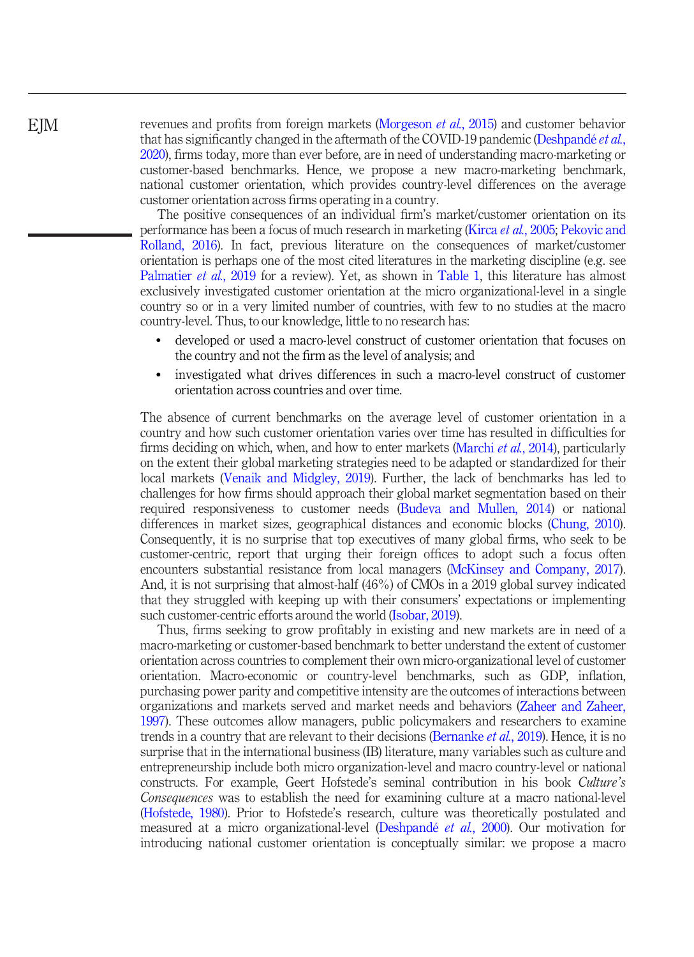revenues and profits from foreign markets [\(Morgeson](#page-25-0) et al., 2015) and customer behavior that has significantly changed in the aftermath of the COVID-19 pandemic ([Deshpandé](#page-23-1) *et al.*, [2020](#page-23-1)), firms today, more than ever before, are in need of understanding macro-marketing or customer-based benchmarks. Hence, we propose a new macro-marketing benchmark, national customer orientation, which provides country-level differences on the average customer orientation across firms operating in a country.

The positive consequences of an individual firm's market/customer orientation on its performance has been a focus of much research in marketing (Kirca et al.[, 2005;](#page-25-1) [Pekovic and](#page-26-0) [Rolland, 2016](#page-26-0)). In fact, previous literature on the consequences of market/customer orientation is perhaps one of the most cited literatures in the marketing discipline (e.g. see [Palmatier](#page-26-1) et al., 2019 for a review). Yet, as shown in [Table 1](#page-2-0), this literature has almost exclusively investigated customer orientation at the micro organizational-level in a single country so or in a very limited number of countries, with few to no studies at the macro country-level. Thus, to our knowledge, little to no research has:

- developed or used a macro-level construct of customer orientation that focuses on the country and not the firm as the level of analysis; and
- investigated what drives differences in such a macro-level construct of customer orientation across countries and over time.

The absence of current benchmarks on the average level of customer orientation in a country and how such customer orientation varies over time has resulted in difficulties for firms deciding on which, when, and how to enter markets [\(Marchi](#page-25-2) et al., 2014), particularly on the extent their global marketing strategies need to be adapted or standardized for their local markets ([Venaik and Midgley, 2019](#page-26-2)). Further, the lack of benchmarks has led to challenges for how firms should approach their global market segmentation based on their required responsiveness to customer needs ([Budeva and Mullen, 2014\)](#page-23-0) or national differences in market sizes, geographical distances and economic blocks [\(Chung, 2010\)](#page-23-2). Consequently, it is no surprise that top executives of many global firms, who seek to be customer-centric, report that urging their foreign offices to adopt such a focus often encounters substantial resistance from local managers [\(McKinsey and Company, 2017\)](#page-25-3). And, it is not surprising that almost-half (46%) of CMOs in a 2019 global survey indicated that they struggled with keeping up with their consumers' expectations or implementing such customer-centric efforts around the world ([Isobar, 2019](#page-24-1)).

Thus, firms seeking to grow profitably in existing and new markets are in need of a macro-marketing or customer-based benchmark to better understand the extent of customer orientation across countries to complement their own micro-organizational level of customer orientation. Macro-economic or country-level benchmarks, such as GDP, inflation, purchasing power parity and competitive intensity are the outcomes of interactions between organizations and markets served and market needs and behaviors ([Zaheer and Zaheer,](#page-27-0) [1997](#page-27-0)). These outcomes allow managers, public policymakers and researchers to examine trends in a country that are relevant to their decisions ([Bernanke](#page-22-0) *et al.*, 2019). Hence, it is no surprise that in the international business (IB) literature, many variables such as culture and entrepreneurship include both micro organization-level and macro country-level or national constructs. For example, Geert Hofstede's seminal contribution in his book Culture's Consequences was to establish the need for examining culture at a macro national-level [\(Hofstede, 1980](#page-24-2)). Prior to Hofstede's research, culture was theoretically postulated and measured at a micro organizational-level ([Deshpandé](#page-23-3) et al., 2000). Our motivation for introducing national customer orientation is conceptually similar: we propose a macro

**EIM**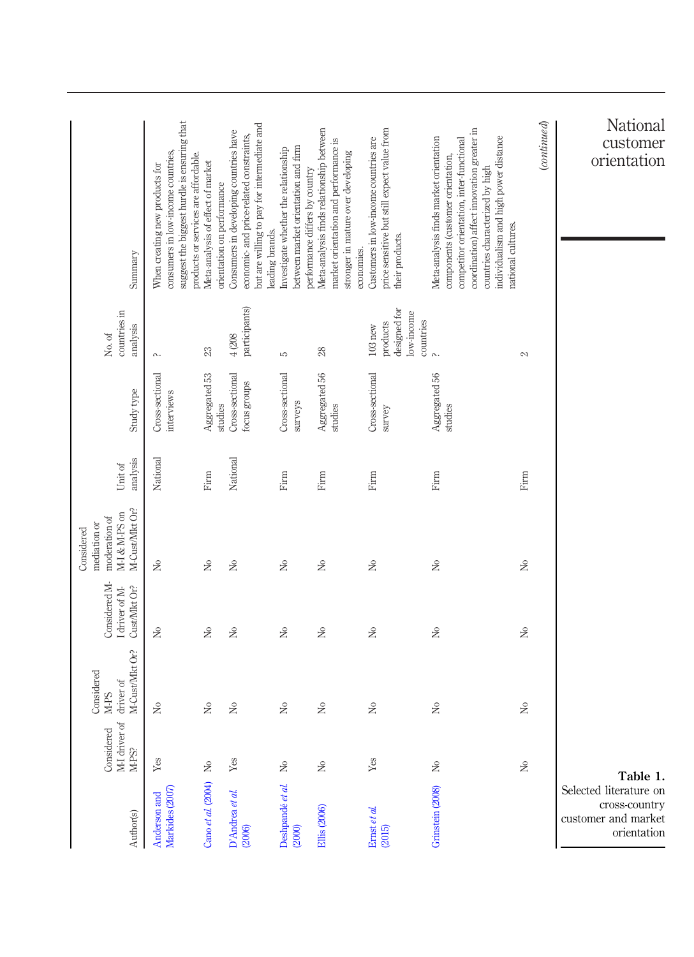<span id="page-2-0"></span>

| Author(s)                                                                     | of<br>Considered<br>M-I driver<br>M-PS? | M-Cust/Mkt Or?<br>Considered<br>driver of<br>M-PS                | Considered M-<br>Cust/Mkt Or?<br>I driver of M-                                       | M-Cust/Mkt Or?<br>M-I & M-PS on<br>moderation of<br>mediation or<br>Considered        | analysis<br>Unit of   | Study type                                 | countries in<br>analysis<br>No. of                               | Summary                                                                                                                                                                                                                                                                 |
|-------------------------------------------------------------------------------|-----------------------------------------|------------------------------------------------------------------|---------------------------------------------------------------------------------------|---------------------------------------------------------------------------------------|-----------------------|--------------------------------------------|------------------------------------------------------------------|-------------------------------------------------------------------------------------------------------------------------------------------------------------------------------------------------------------------------------------------------------------------------|
| Markides (2007)<br>Anderson and                                               | $\ensuremath{\mathrm{Yes}}$             | $\rm \stackrel{\circ}{\rm \hspace{-0.8ex}X}$                     | $\rm \stackrel{\circ}{\rm \hspace{-0.8ex} \rule{0.1ex}{0.5ex}\hspace{-0.2ex} \times}$ | $\rm \stackrel{\circ}{\rm \hspace{-0.8ex} \rule{0.1ex}{0.5ex}\hspace{-0.2ex} \times}$ | National              | Cross-sectional<br>interviews              | ρ.                                                               | suggest the biggest hurdle is ensuring that<br>consumers in low-income countries,<br>products or services are affordable.<br>When creating new products for                                                                                                             |
| Cano et al. (2004)                                                            | $\hat{z}$                               | $\gtrsim$                                                        | $\gtrsim$                                                                             | $\gtrsim$                                                                             | Firm                  | Aggregated 53                              | $23\,$                                                           | Meta-analysis of effect of market                                                                                                                                                                                                                                       |
| D'Andrea et al.<br>(2006)                                                     | Yes                                     | $\stackrel{\circ}{\mathbf{Z}}$                                   | $\gtrsim$                                                                             | $\gtrsim$                                                                             | National              | Cross-sectional<br>focus groups<br>studies | participants)<br>$4(208$                                         | but are willing to pay for intermediate and<br>Consumers in developing countries have<br>economic- and price-related constraints,<br>orientation on performance                                                                                                         |
| Deshpandé et al.<br>(2000)                                                    | $\gtrsim$                               | $\tilde{z}$                                                      | $\gtrsim$                                                                             | $\gtrsim$                                                                             | Firm                  | Cross-sectional<br>surveys                 | S                                                                | between market orientation and firm<br>Investigate whether the relationship<br>leading brands.                                                                                                                                                                          |
| <b>Ellis</b> (2006)                                                           | $\gtrsim$                               | $\rm \stackrel{\circ}{\rm \stackrel{\circ}{\rm \scriptstyle X}}$ | $\gtrsim$                                                                             | $\gtrsim$                                                                             | Firm                  | Aggregated 56<br>studies                   | 28                                                               | Meta-analysis finds relationship between<br>market orientation and performance is<br>stronger in mature over developing<br>performance differs by country                                                                                                               |
| Ernst et al.<br>(2015)                                                        | Yes                                     | $\tilde{z}$                                                      | $\tilde{z}$                                                                           | $\mathcal{L}^{\circ}$                                                                 | Firm                  | Cross-sectional<br>survey                  | designed for<br>low-income<br>countries<br>products<br>$103$ new | price sensitive but still expect value from<br>Customers in low-income countries are<br>their products.<br>economies.                                                                                                                                                   |
| Grinstein (2008)                                                              | $\stackrel{\circ}{\asymp}$              | $\gtrsim$                                                        | $\rm \stackrel{\circ}{\rm \hspace{-0.8ex} \rule{0.1ex}{0.5ex}\hspace{-0.2ex} \times}$ | $\rm \stackrel{\circ}{\rm \hspace{-0.8ex} \rule{0.1ex}{0.5ex}\hspace{-0.2ex} \times}$ | Firm                  | Aggregated 56<br>studies                   | $\sim$                                                           | coordination) affect innovation greater in<br>individualism and high power distance<br>Meta-analysis finds market orientation<br>competitor orientation, inter-functional<br>components (customer orientation,<br>countries characterized by high<br>national cultures. |
|                                                                               | $\gtrsim$                               | $\mathcal{L}^{\circ}$                                            | $\stackrel{\circ}{\simeq}$                                                            | $\rm \stackrel{\circ}{\rm \hspace{-0.8ex} \rule{0.1ex}{0.5ex}\hspace{-0.2ex} \times}$ | $\operatorname{Firm}$ |                                            | 2                                                                | $_{(continued)}$                                                                                                                                                                                                                                                        |
| Selected literature on<br>cross-country<br>customer and market<br>orientation | Table 1.                                |                                                                  |                                                                                       |                                                                                       |                       |                                            |                                                                  | National<br>customer<br>orientation                                                                                                                                                                                                                                     |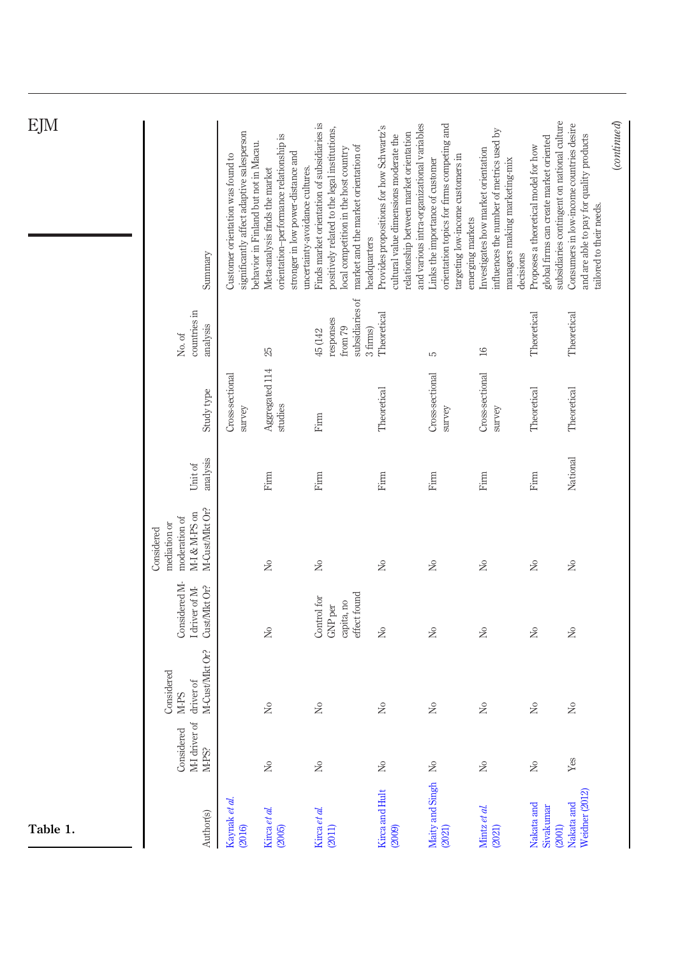| EJM      | Summary<br>countries in<br>analysis<br>$\rm No.$ of<br>Study type<br>analysis<br>Unit of<br>M-Cust/Mkt Or?<br>M-I & M-PS on<br>moderation of<br>mediation or<br>Considered | significantly affect adaptive salesperson<br>Customer orientation was found to<br>Cross-sectional<br>survey | orientation-performance relationship is<br>behavior in Finland but not in Macau.<br>stronger in low power-distance and<br>Meta-analysis finds the market<br>25<br>Aggregated 114<br>studies<br>Firm<br>$\mathcal{L}^{\circ}$ | Finds market orientation of subsidiaries is<br>positively related to the legal institutions,<br>market and the market orientation of<br>local competition in the host country<br>uncertainty-avoidance cultures.<br>subsidiaries of<br>responses<br>from 79<br>3 firms)<br>45 (142<br>Firm<br>Firm<br>$\mathcal{L}^{\circ}$ | and various intra-organizational variables<br>Provides propositions for how Schwartz's<br>relationship between market orientation<br>cultural value dimensions moderate the<br>headquarters<br>Theoretical<br>Theoretical<br>Firm<br>$\overline{R}$ | orientation topics for firms competing and<br>targeting low-income customers in<br>Links the importance of customer<br>emerging markets<br>S<br>Cross-sectional<br>survey<br>Firm<br>$\geq$ | influences the number of metrics used by<br>Investigates how market orientation<br>managers making marketing-mix<br>decisions<br>$16\,$<br>Cross-sectional<br>survey<br>Firm<br>$\geq$ | subsidiaries contingent on national culture<br>global firms can create market oriented<br>Proposes a theoretical model for how<br>Theoretical<br>Theoretical<br>Firm<br>$\geq$ | Consumers in low-income countries desire<br>and are able to pay for quality products<br>tailored to their needs.<br>Theoretical<br>Theoretical<br>National<br>$\gtrsim$ |
|----------|----------------------------------------------------------------------------------------------------------------------------------------------------------------------------|-------------------------------------------------------------------------------------------------------------|------------------------------------------------------------------------------------------------------------------------------------------------------------------------------------------------------------------------------|-----------------------------------------------------------------------------------------------------------------------------------------------------------------------------------------------------------------------------------------------------------------------------------------------------------------------------|-----------------------------------------------------------------------------------------------------------------------------------------------------------------------------------------------------------------------------------------------------|---------------------------------------------------------------------------------------------------------------------------------------------------------------------------------------------|----------------------------------------------------------------------------------------------------------------------------------------------------------------------------------------|--------------------------------------------------------------------------------------------------------------------------------------------------------------------------------|-------------------------------------------------------------------------------------------------------------------------------------------------------------------------|
|          |                                                                                                                                                                            |                                                                                                             |                                                                                                                                                                                                                              |                                                                                                                                                                                                                                                                                                                             |                                                                                                                                                                                                                                                     |                                                                                                                                                                                             |                                                                                                                                                                                        |                                                                                                                                                                                |                                                                                                                                                                         |
|          |                                                                                                                                                                            |                                                                                                             |                                                                                                                                                                                                                              |                                                                                                                                                                                                                                                                                                                             |                                                                                                                                                                                                                                                     |                                                                                                                                                                                             |                                                                                                                                                                                        |                                                                                                                                                                                |                                                                                                                                                                         |
|          |                                                                                                                                                                            |                                                                                                             |                                                                                                                                                                                                                              |                                                                                                                                                                                                                                                                                                                             |                                                                                                                                                                                                                                                     |                                                                                                                                                                                             |                                                                                                                                                                                        |                                                                                                                                                                                |                                                                                                                                                                         |
|          |                                                                                                                                                                            |                                                                                                             |                                                                                                                                                                                                                              |                                                                                                                                                                                                                                                                                                                             |                                                                                                                                                                                                                                                     |                                                                                                                                                                                             |                                                                                                                                                                                        |                                                                                                                                                                                |                                                                                                                                                                         |
|          | Considered M-<br>Cust/Mkt Or?<br>I driver of M-                                                                                                                            |                                                                                                             | $\overline{R}$                                                                                                                                                                                                               | effect found<br>Control for<br>capita, no<br>GNP per                                                                                                                                                                                                                                                                        | $\gtrsim$                                                                                                                                                                                                                                           | $\gtrsim$                                                                                                                                                                                   | $\rm \stackrel{\circ}{\simeq}$                                                                                                                                                         | $\gtrsim$                                                                                                                                                                      | $\gtrsim$                                                                                                                                                               |
|          | M-Cust/Mkt Or?<br>Considered<br>driver of<br>M-PS                                                                                                                          |                                                                                                             | $\mathcal{L}^{\circ}$                                                                                                                                                                                                        | $\mathcal{L}^{\circ}$                                                                                                                                                                                                                                                                                                       | $\stackrel{\circ}{\approx}$                                                                                                                                                                                                                         | $\gtrsim$                                                                                                                                                                                   | $\geq$                                                                                                                                                                                 | $\rm \stackrel{\circ}{\simeq}$                                                                                                                                                 | $\gtrsim$                                                                                                                                                               |
|          | M-I driver of<br>Considered<br>M-PS?                                                                                                                                       |                                                                                                             | ż                                                                                                                                                                                                                            | ż                                                                                                                                                                                                                                                                                                                           | $\gtrapprox$                                                                                                                                                                                                                                        | ż                                                                                                                                                                                           | $\gtrsim$                                                                                                                                                                              | $\gtrsim$                                                                                                                                                                      | Yes                                                                                                                                                                     |
| Table 1. | Author(s)                                                                                                                                                                  | Kaynak et al.<br>(2016)                                                                                     | Kirca et al.<br>(2005)                                                                                                                                                                                                       | Kirca et al.<br>(2011)                                                                                                                                                                                                                                                                                                      | Kirca and Hult<br>(2009)                                                                                                                                                                                                                            | Maity and Singh<br>(2021)                                                                                                                                                                   | Mintz et al.<br>(2021)                                                                                                                                                                 | Nakata and<br>Sivakumar<br>(2001)                                                                                                                                              | Weidner (2012)<br>Nakata and                                                                                                                                            |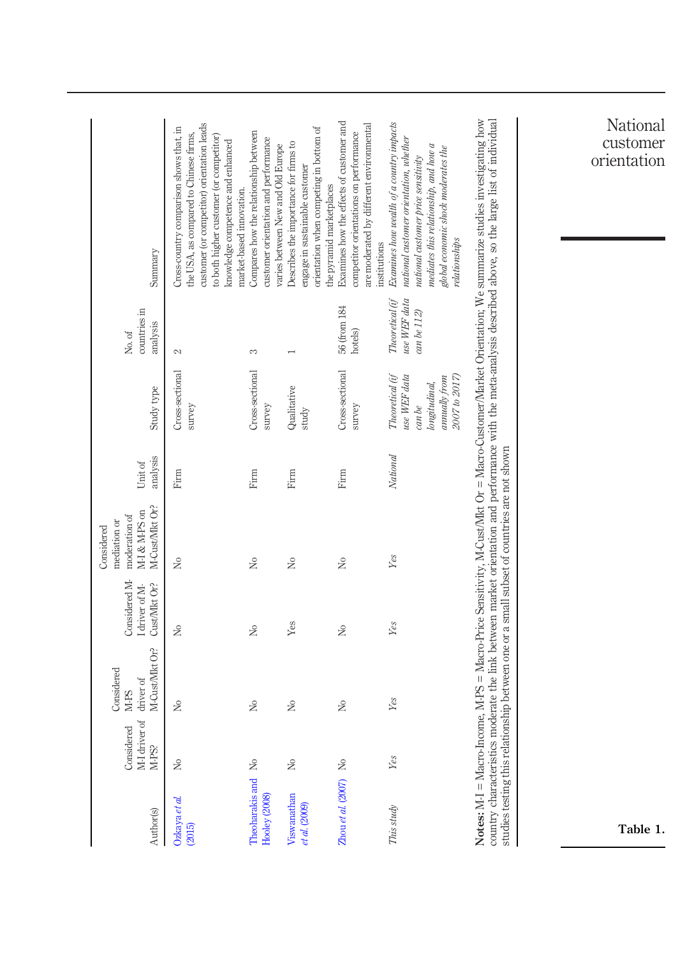| Author(s)                        | t.<br>Considered<br>M-I driver<br>M-PS? | M-Cust/Mkt Or?<br>Considered<br>driver of<br>M-PS | Considered M-<br>Cust/Mkt Or?<br>I driver of M- | M-Cust/Mkt Or?<br>M-I & M-PS on<br>moderation of<br>mediation or<br>Considered             | analysis<br>Unit of | Study type                                                                                   | countries in<br>analysis<br>$\rm No.$ of      | Summary                                                                                                                                                                                                                                                                                                               |
|----------------------------------|-----------------------------------------|---------------------------------------------------|-------------------------------------------------|--------------------------------------------------------------------------------------------|---------------------|----------------------------------------------------------------------------------------------|-----------------------------------------------|-----------------------------------------------------------------------------------------------------------------------------------------------------------------------------------------------------------------------------------------------------------------------------------------------------------------------|
| Ozkaya et al.<br>(2015)          | $\gtrsim$                               | $\rm \stackrel{\circ}{\simeq}$                    | $\gtrsim$                                       | $\gtrsim$                                                                                  | Firm                | Cross-sectional<br>survey                                                                    | $\mathbb{C}$                                  | customer (or competitor) orientation leads<br>Cross-country comparison shows that, in<br>the USA, as compared to Chinese firms,<br>to both higher customer (or competitor)<br>knowledge competence and enhanced                                                                                                       |
| Theoharakis and<br>Hooley (2008) | $\approx$                               | $\frac{1}{2}$                                     | $\mathcal{L}^{\circ}$                           | $\mathcal{L}^{\circ}$                                                                      | Firm                | Cross-sectional<br>survey                                                                    | 3                                             | Compares how the relationship between<br>customer orientation and performance<br>market-based innovation.                                                                                                                                                                                                             |
| Viswanathan<br>et al. (2009)     | ż                                       | $\stackrel{\circ}{\approx}$                       | $Y$ es                                          | $\stackrel{\circ}{\approx}$                                                                | Firm                | Qualitative<br>study                                                                         | $\overline{\phantom{0}}$                      | orientation when competing in bottom of<br>Describes the importance for firms to<br>varies between New and Old Europe<br>engage in sustainable customer                                                                                                                                                               |
| Zhou et al. $(2007)$ No          |                                         | $\mathcal{L}^{\circ}$                             | $\tilde{z}$                                     | $\mathcal{L}^{\circ}$                                                                      | Firm                | Cross-sectional<br>survey                                                                    | 56 (from 184<br>hotels)                       | Examines how the effects of customer and<br>are moderated by different environmental<br>competitor orientations on performance<br>the pyramid marketplaces                                                                                                                                                            |
| This study                       | Yes                                     | Yes                                               | Yes                                             | Yes                                                                                        | National            | Theoretical (if<br>2007 to 2017)<br>use WEF data<br>annually from<br>longitudinal,<br>can be | Theoretical (if<br>use WEF data<br>can be 112 | Examines how wealth of a country impacts<br>national customer orientation, whether<br>mediates this relationship, and how a<br>global economic shock moderates the<br>national customer price sensitivity<br>relationships<br>institutions                                                                            |
|                                  |                                         |                                                   |                                                 | studies testing this relationship between one or a small subset of countries are not shown |                     |                                                                                              |                                               | Notes: M-I = Macro-Income, M-PS = Macro-Price Sensitivity, M-Cust/MIxt Or = Macro-Customer/Market Orientation; We summarize studies investigating how<br>country characteristics moderate the link between market orientation and performance with the meta-analysis described above, so the large list of individual |
|                                  |                                         |                                                   |                                                 |                                                                                            |                     |                                                                                              |                                               |                                                                                                                                                                                                                                                                                                                       |
| Table 1.                         |                                         |                                                   |                                                 |                                                                                            |                     |                                                                                              |                                               | National<br>customer<br>orientation                                                                                                                                                                                                                                                                                   |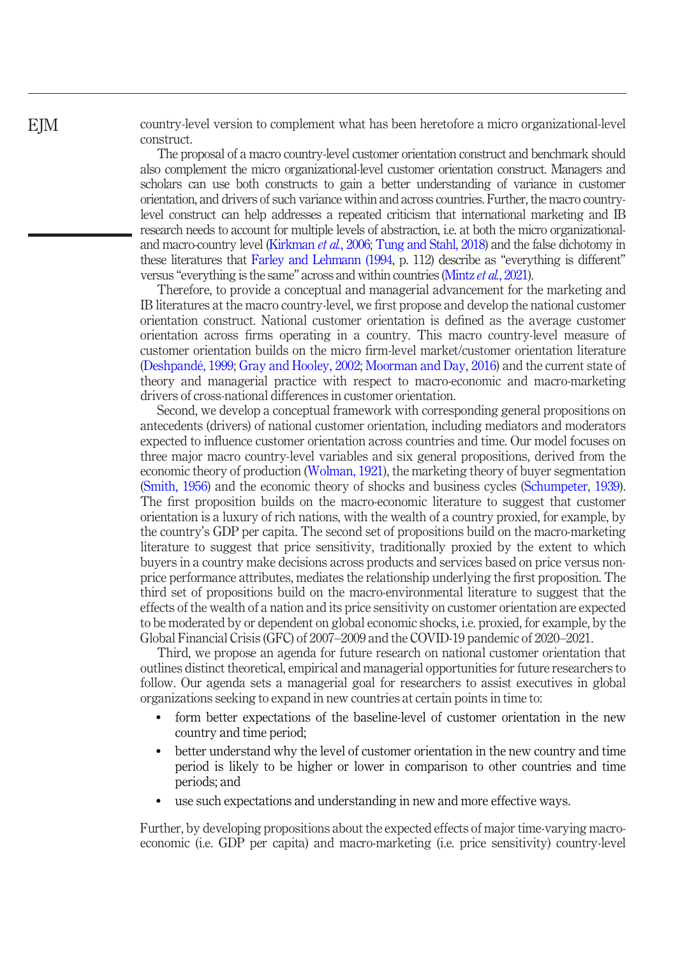country-level version to complement what has been heretofore a micro organizational-level construct.

The proposal of a macro country-level customer orientation construct and benchmark should also complement the micro organizational-level customer orientation construct. Managers and scholars can use both constructs to gain a better understanding of variance in customer orientation, and drivers of such variance within and across countries. Further, the macro countrylevel construct can help addresses a repeated criticism that international marketing and IB research needs to account for multiple levels of abstraction, i.e. at both the micro organizational-and macro-country level [\(Kirkman](#page-25-7) *et al.*, 2006; [Tung and Stahl, 2018\)](#page-26-6) and the false dichotomy in these literatures that [Farley and Lehmann \(1994,](#page-24-8) p. 112) describe as "everything is different" versus "everything is the same" across and within countries [\(Mintz](#page-25-5) et al., 2021).

Therefore, to provide a conceptual and managerial advancement for the marketing and IB literatures at the macro country-level, we first propose and develop the national customer orientation construct. National customer orientation is defined as the average customer orientation across firms operating in a country. This macro country-level measure of customer orientation builds on the micro firm-level market/customer orientation literature [\(Deshpandé, 1999](#page-23-7); [Gray and Hooley, 2002](#page-24-9); [Moorman and Day, 2016\)](#page-25-8) and the current state of theory and managerial practice with respect to macro-economic and macro-marketing drivers of cross-national differences in customer orientation.

Second, we develop a conceptual framework with corresponding general propositions on antecedents (drivers) of national customer orientation, including mediators and moderators expected to influence customer orientation across countries and time. Our model focuses on three major macro country-level variables and six general propositions, derived from the economic theory of production ([Wolman, 1921\)](#page-27-3), the marketing theory of buyer segmentation [\(Smith, 1956](#page-26-7)) and the economic theory of shocks and business cycles ([Schumpeter, 1939\)](#page-26-8). The first proposition builds on the macro-economic literature to suggest that customer orientation is a luxury of rich nations, with the wealth of a country proxied, for example, by the country's GDP per capita. The second set of propositions build on the macro-marketing literature to suggest that price sensitivity, traditionally proxied by the extent to which buyers in a country make decisions across products and services based on price versus nonprice performance attributes, mediates the relationship underlying the first proposition. The third set of propositions build on the macro-environmental literature to suggest that the effects of the wealth of a nation and its price sensitivity on customer orientation are expected to be moderated by or dependent on global economic shocks, i.e. proxied, for example, by the Global Financial Crisis (GFC) of 2007–2009 and the COVID-19 pandemic of 2020–2021.

Third, we propose an agenda for future research on national customer orientation that outlines distinct theoretical, empirical and managerial opportunities for future researchers to follow. Our agenda sets a managerial goal for researchers to assist executives in global organizations seeking to expand in new countries at certain points in time to:

- form better expectations of the baseline-level of customer orientation in the new country and time period;
- better understand why the level of customer orientation in the new country and time period is likely to be higher or lower in comparison to other countries and time periods; and
- use such expectations and understanding in new and more effective ways.

Further, by developing propositions about the expected effects of major time-varying macroeconomic (i.e. GDP per capita) and macro-marketing (i.e. price sensitivity) country-level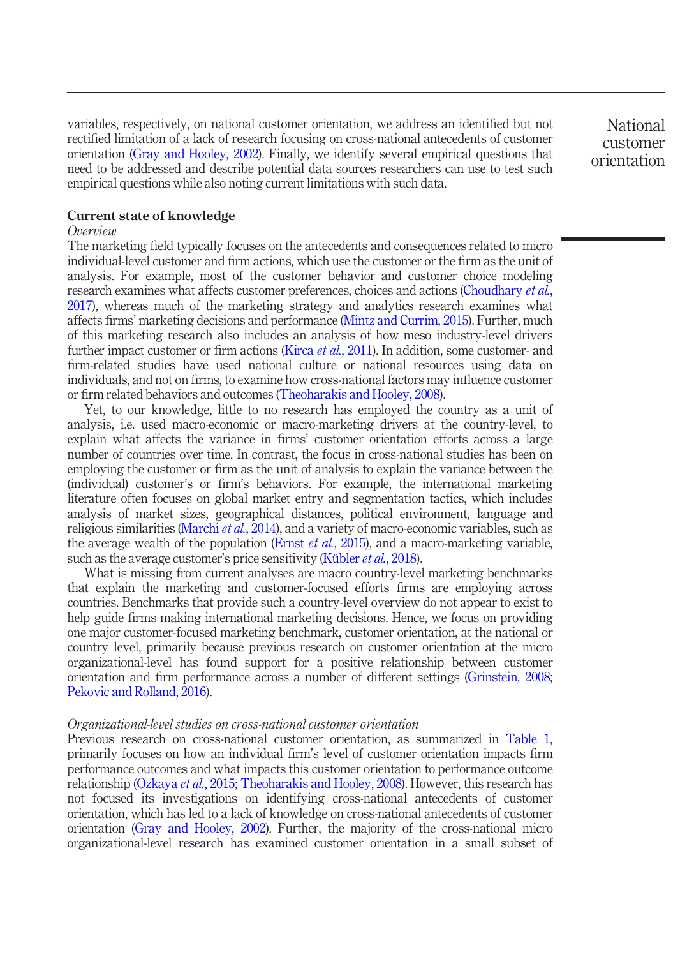variables, respectively, on national customer orientation, we address an identified but not rectified limitation of a lack of research focusing on cross-national antecedents of customer orientation ([Gray and Hooley, 2002\)](#page-24-9). Finally, we identify several empirical questions that need to be addressed and describe potential data sources researchers can use to test such empirical questions while also noting current limitations with such data.

National customer orientation

# Current state of knowledge

#### Overview

The marketing field typically focuses on the antecedents and consequences related to micro individual-level customer and firm actions, which use the customer or the firm as the unit of analysis. For example, most of the customer behavior and customer choice modeling research examines what affects customer preferences, choices and actions ([Choudhary](#page-23-8) et al., [2017\)](#page-23-8), whereas much of the marketing strategy and analytics research examines what affects firms' marketing decisions and performance [\(Mintz and Currim, 2015\)](#page-25-9). Further, much of this marketing research also includes an analysis of how meso industry-level drivers further impact customer or firm actions (Kirca et al.[, 2011\)](#page-24-6). In addition, some customer- and firm-related studies have used national culture or national resources using data on individuals, and not on firms, to examine how cross-national factors may influence customer or firm related behaviors and outcomes ([Theoharakis and Hooley, 2008\)](#page-26-5).

Yet, to our knowledge, little to no research has employed the country as a unit of analysis, i.e. used macro-economic or macro-marketing drivers at the country-level, to explain what affects the variance in firms' customer orientation efforts across a large number of countries over time. In contrast, the focus in cross-national studies has been on employing the customer or firm as the unit of analysis to explain the variance between the (individual) customer's or firm's behaviors. For example, the international marketing literature often focuses on global market entry and segmentation tactics, which includes analysis of market sizes, geographical distances, political environment, language and religious similarities ([Marchi](#page-25-2) *et al.*, 2014), and a variety of macro-economic variables, such as the average wealth of the population (Ernst *et al.*[, 2015](#page-24-3)), and a macro-marketing variable, such as the average customer's price sensitivity ([Kübler](#page-25-10) *et al.*, 2018).

What is missing from current analyses are macro country-level marketing benchmarks that explain the marketing and customer-focused efforts firms are employing across countries. Benchmarks that provide such a country-level overview do not appear to exist to help guide firms making international marketing decisions. Hence, we focus on providing one major customer-focused marketing benchmark, customer orientation, at the national or country level, primarily because previous research on customer orientation at the micro organizational-level has found support for a positive relationship between customer orientation and firm performance across a number of different settings ([Grinstein, 2008](#page-24-4); [Pekovic and Rolland, 2016\)](#page-26-0).

#### Organizational-level studies on cross-national customer orientation

Previous research on cross-national customer orientation, as summarized in [Table 1](#page-2-0), primarily focuses on how an individual firm's level of customer orientation impacts firm performance outcomes and what impacts this customer orientation to performance outcome relationship [\(Ozkaya](#page-26-4) *et al.*, 2015; [Theoharakis and Hooley, 2008\)](#page-26-5). However, this research has not focused its investigations on identifying cross-national antecedents of customer orientation, which has led to a lack of knowledge on cross-national antecedents of customer orientation ([Gray and Hooley, 2002\)](#page-24-9). Further, the majority of the cross-national micro organizational-level research has examined customer orientation in a small subset of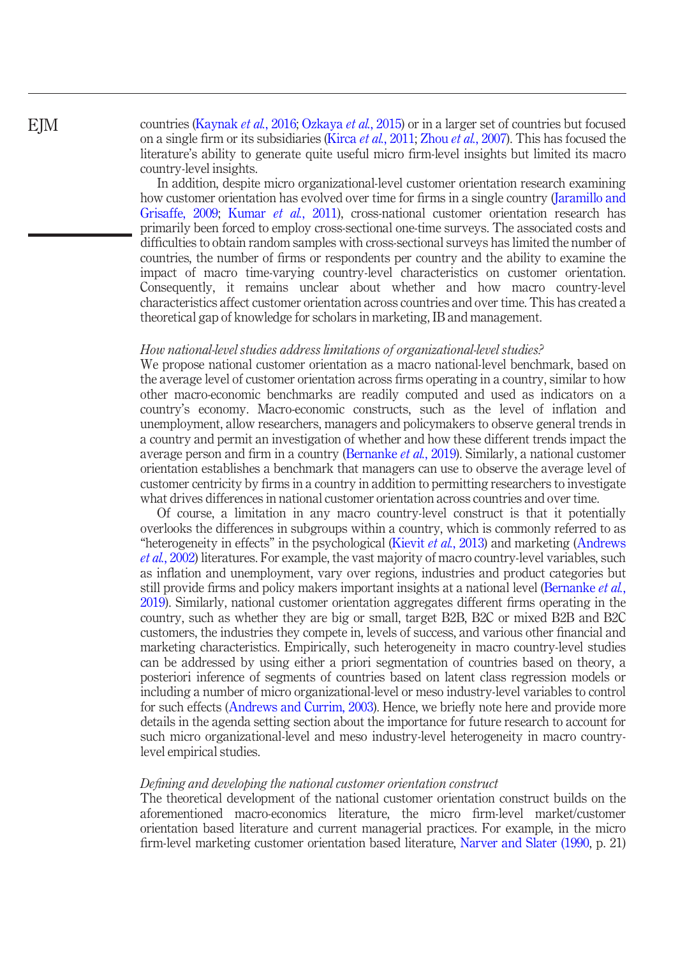# EJM

countries [\(Kaynak](#page-24-5) et al., 2016; [Ozkaya](#page-26-4) et al., 2015) or in a larger set of countries but focused on a single firm or its subsidiaries (Kirca *et al.*[, 2011;](#page-24-6) Zhou *et al.*[, 2007](#page-27-2)). This has focused the literature's ability to generate quite useful micro firm-level insights but limited its macro country-level insights.

In addition, despite micro organizational-level customer orientation research examining how customer orientation has evolved over time for firms in a single country [\(Jaramillo and](#page-24-10) [Grisaffe, 2009](#page-24-10); [Kumar](#page-25-11) et al., 2011), cross-national customer orientation research has primarily been forced to employ cross-sectional one-time surveys. The associated costs and difficulties to obtain random samples with cross-sectional surveys has limited the number of countries, the number of firms or respondents per country and the ability to examine the impact of macro time-varying country-level characteristics on customer orientation. Consequently, it remains unclear about whether and how macro country-level characteristics affect customer orientation across countries and over time. This has created a theoretical gap of knowledge for scholars in marketing, IB and management.

#### How national-level studies address limitations of organizational-level studies?

We propose national customer orientation as a macro national-level benchmark, based on the average level of customer orientation across firms operating in a country, similar to how other macro-economic benchmarks are readily computed and used as indicators on a country's economy. Macro-economic constructs, such as the level of inflation and unemployment, allow researchers, managers and policymakers to observe general trends in a country and permit an investigation of whether and how these different trends impact the average person and firm in a country [\(Bernanke](#page-22-0) et al., 2019). Similarly, a national customer orientation establishes a benchmark that managers can use to observe the average level of customer centricity by firms in a country in addition to permitting researchers to investigate what drives differences in national customer orientation across countries and over time.

Of course, a limitation in any macro country-level construct is that it potentially overlooks the differences in subgroups within a country, which is commonly referred to as "heterogeneity in effects" in the psychological ([Kievit](#page-24-11) et al., 2013) and marketing [\(Andrews](#page-22-2) et al.[, 2002](#page-22-2)) literatures. For example, the vast majority of macro country-level variables, such as inflation and unemployment, vary over regions, industries and product categories but still provide firms and policy makers important insights at a national level ([Bernanke](#page-22-0) *et al.*, [2019](#page-22-0)). Similarly, national customer orientation aggregates different firms operating in the country, such as whether they are big or small, target B2B, B2C or mixed B2B and B2C customers, the industries they compete in, levels of success, and various other financial and marketing characteristics. Empirically, such heterogeneity in macro country-level studies can be addressed by using either a priori segmentation of countries based on theory, a posteriori inference of segments of countries based on latent class regression models or including a number of micro organizational-level or meso industry-level variables to control for such effects [\(Andrews and Currim, 2003](#page-22-3)). Hence, we briefly note here and provide more details in the agenda setting section about the importance for future research to account for such micro organizational-level and meso industry-level heterogeneity in macro countrylevel empirical studies.

#### Defining and developing the national customer orientation construct

The theoretical development of the national customer orientation construct builds on the aforementioned macro-economics literature, the micro firm-level market/customer orientation based literature and current managerial practices. For example, in the micro firm-level marketing customer orientation based literature, [Narver and Slater \(1990](#page-26-9), p. 21)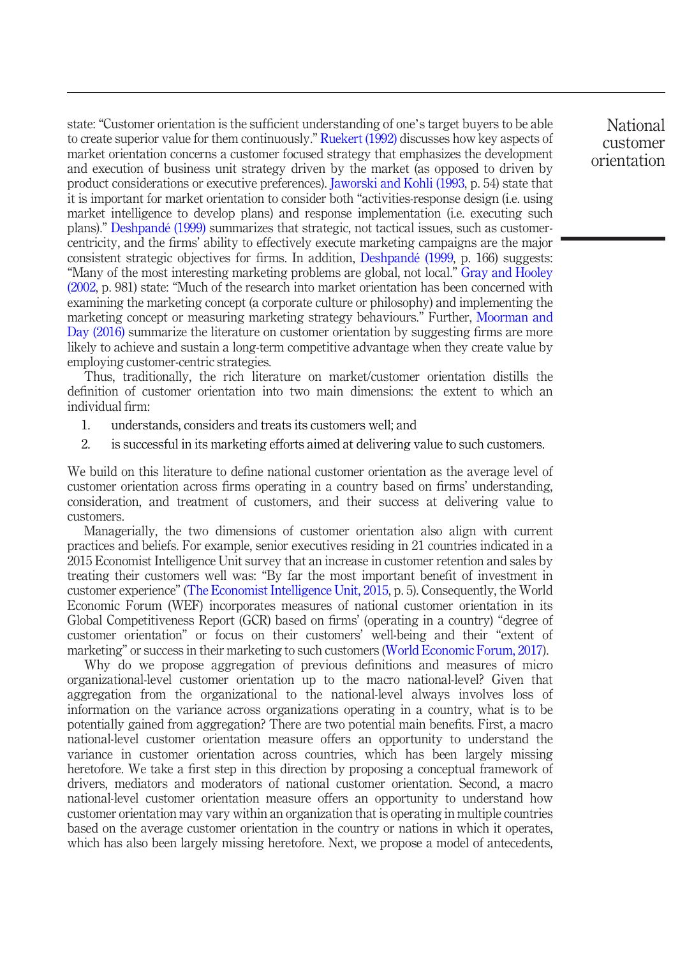state: "Customer orientation is the sufficient understanding of one's target buyers to be able to create superior value for them continuously." [Ruekert \(1992\)](#page-26-10) discusses how key aspects of market orientation concerns a customer focused strategy that emphasizes the development and execution of business unit strategy driven by the market (as opposed to driven by product considerations or executive preferences). [Jaworski and Kohli \(1993](#page-24-12), p. 54) state that it is important for market orientation to consider both "activities-response design (i.e. using market intelligence to develop plans) and response implementation (i.e. executing such plans)." [Deshpandé \(1999\)](#page-23-7) summarizes that strategic, not tactical issues, such as customercentricity, and the firms' ability to effectively execute marketing campaigns are the major consistent strategic objectives for firms. In addition, [Deshpandé \(1999](#page-23-7), p. 166) suggests: "Many of the most interesting marketing problems are global, not local." [Gray and Hooley](#page-24-9) [\(2002,](#page-24-9) p. 981) state: "Much of the research into market orientation has been concerned with examining the marketing concept (a corporate culture or philosophy) and implementing the marketing concept or measuring marketing strategy behaviours." Further, [Moorman and](#page-25-8) [Day \(2016\)](#page-25-8) summarize the literature on customer orientation by suggesting firms are more likely to achieve and sustain a long-term competitive advantage when they create value by employing customer-centric strategies.

Thus, traditionally, the rich literature on market/customer orientation distills the definition of customer orientation into two main dimensions: the extent to which an individual firm:

- 1. understands, considers and treats its customers well; and
- 2. is successful in its marketing efforts aimed at delivering value to such customers.

We build on this literature to define national customer orientation as the average level of customer orientation across firms operating in a country based on firms' understanding, consideration, and treatment of customers, and their success at delivering value to customers.

Managerially, the two dimensions of customer orientation also align with current practices and beliefs. For example, senior executives residing in 21 countries indicated in a 2015 Economist Intelligence Unit survey that an increase in customer retention and sales by treating their customers well was: "By far the most important benefit of investment in customer experience" ([The Economist Intelligence Unit, 2015](#page-26-11), p. 5). Consequently, the World Economic Forum (WEF) incorporates measures of national customer orientation in its Global Competitiveness Report (GCR) based on firms' (operating in a country) "degree of customer orientation" or focus on their customers' well-being and their "extent of marketing" or success in their marketing to such customers [\(World Economic Forum, 2017\)](#page-27-4).

Why do we propose aggregation of previous definitions and measures of micro organizational-level customer orientation up to the macro national-level? Given that aggregation from the organizational to the national-level always involves loss of information on the variance across organizations operating in a country, what is to be potentially gained from aggregation? There are two potential main benefits. First, a macro national-level customer orientation measure offers an opportunity to understand the variance in customer orientation across countries, which has been largely missing heretofore. We take a first step in this direction by proposing a conceptual framework of drivers, mediators and moderators of national customer orientation. Second, a macro national-level customer orientation measure offers an opportunity to understand how customer orientation may vary within an organization that is operating in multiple countries based on the average customer orientation in the country or nations in which it operates, which has also been largely missing heretofore. Next, we propose a model of antecedents,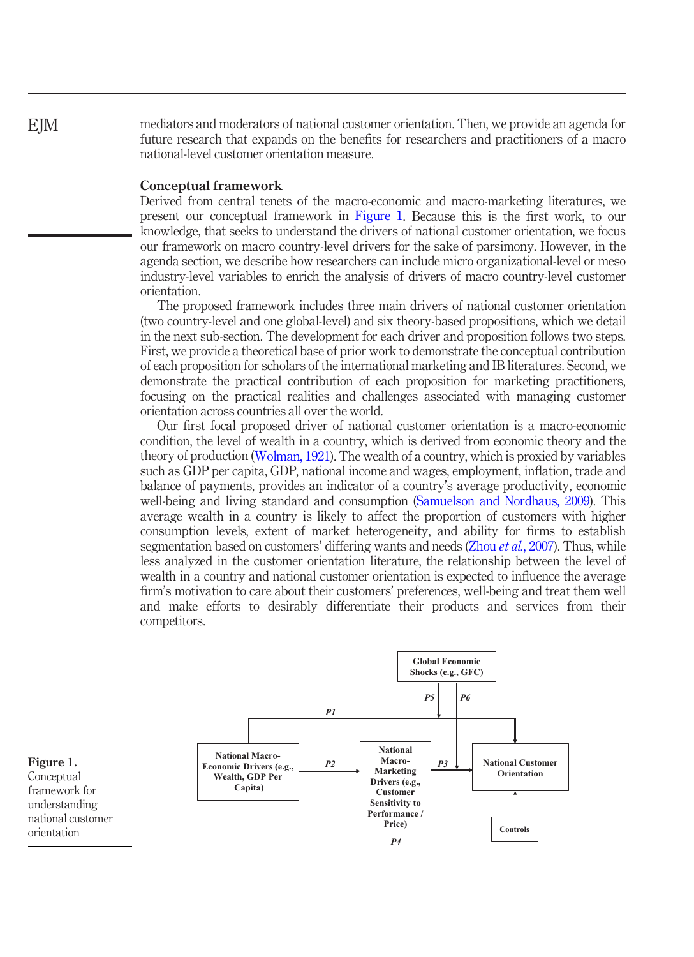mediators and moderators of national customer orientation. Then, we provide an agenda for future research that expands on the benefits for researchers and practitioners of a macro national-level customer orientation measure.

# Conceptual framework

Derived from central tenets of the macro-economic and macro-marketing literatures, we present our conceptual framework in [Figure 1](#page-9-0). Because this is the first work, to our knowledge, that seeks to understand the drivers of national customer orientation, we focus our framework on macro country-level drivers for the sake of parsimony. However, in the agenda section, we describe how researchers can include micro organizational-level or meso industry-level variables to enrich the analysis of drivers of macro country-level customer orientation.

The proposed framework includes three main drivers of national customer orientation (two country-level and one global-level) and six theory-based propositions, which we detail in the next sub-section. The development for each driver and proposition follows two steps. First, we provide a theoretical base of prior work to demonstrate the conceptual contribution of each proposition for scholars of the international marketing and IB literatures. Second, we demonstrate the practical contribution of each proposition for marketing practitioners, focusing on the practical realities and challenges associated with managing customer orientation across countries all over the world.

Our first focal proposed driver of national customer orientation is a macro-economic condition, the level of wealth in a country, which is derived from economic theory and the theory of production ([Wolman, 1921\)](#page-27-3). The wealth of a country, which is proxied by variables such as GDP per capita, GDP, national income and wages, employment, inflation, trade and balance of payments, provides an indicator of a country's average productivity, economic well-being and living standard and consumption [\(Samuelson and Nordhaus, 2009](#page-26-12)). This average wealth in a country is likely to affect the proportion of customers with higher consumption levels, extent of market heterogeneity, and ability for firms to establish segmentation based on customers' differing wants and needs (Zhou *et al.*[, 2007\)](#page-27-2). Thus, while less analyzed in the customer orientation literature, the relationship between the level of wealth in a country and national customer orientation is expected to influence the average firm's motivation to care about their customers' preferences, well-being and treat them well and make efforts to desirably differentiate their products and services from their competitors.



<span id="page-9-0"></span>Figure 1. **Conceptual** framework for understanding national customer orientation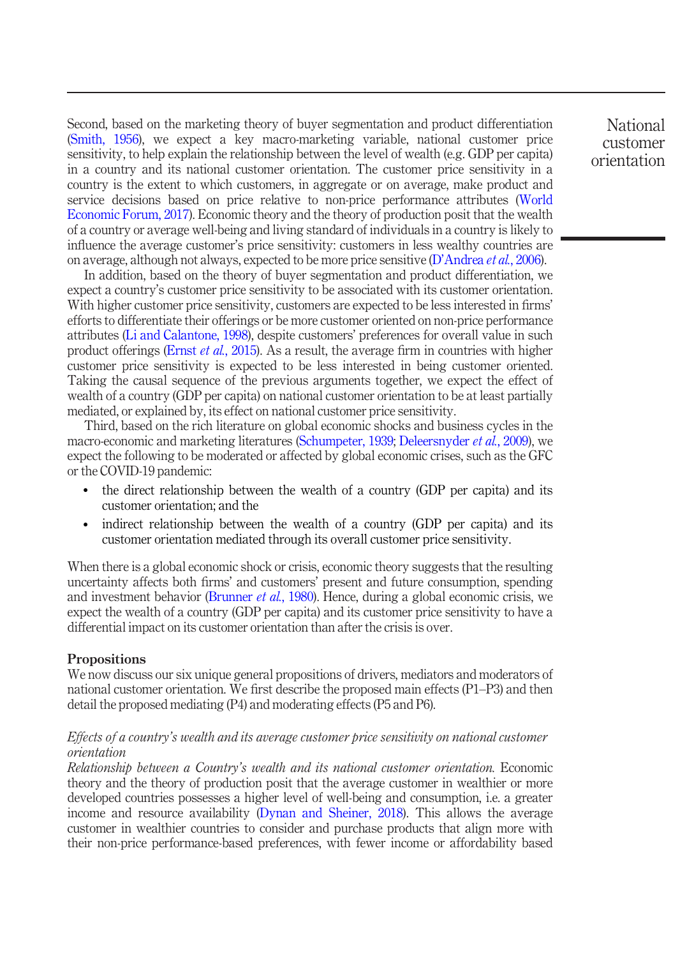Second, based on the marketing theory of buyer segmentation and product differentiation [\(Smith, 1956](#page-26-7)), we expect a key macro-marketing variable, national customer price sensitivity, to help explain the relationship between the level of wealth (e.g. GDP per capita) in a country and its national customer orientation. The customer price sensitivity in a country is the extent to which customers, in aggregate or on average, make product and service decisions based on price relative to non-price performance attributes [\(World](#page-27-4) [Economic Forum, 2017](#page-27-4)). Economic theory and the theory of production posit that the wealth of a country or average well-being and living standard of individuals in a country is likely to influence the average customer's price sensitivity: customers in less wealthy countries are on average, although not always, expected to be more price sensitive  $(D'Andrea et al., 2006)$  $(D'Andrea et al., 2006)$  $(D'Andrea et al., 2006)$ .

In addition, based on the theory of buyer segmentation and product differentiation, we expect a country's customer price sensitivity to be associated with its customer orientation. With higher customer price sensitivity, customers are expected to be less interested in firms' efforts to differentiate their offerings or be more customer oriented on non-price performance attributes [\(Li and Calantone, 1998](#page-25-12)), despite customers' preferences for overall value in such product offerings (Ernst *et al.*[, 2015](#page-24-3)). As a result, the average firm in countries with higher customer price sensitivity is expected to be less interested in being customer oriented. Taking the causal sequence of the previous arguments together, we expect the effect of wealth of a country (GDP per capita) on national customer orientation to be at least partially mediated, or explained by, its effect on national customer price sensitivity.

Third, based on the rich literature on global economic shocks and business cycles in the macro-economic and marketing literatures ([Schumpeter, 1939;](#page-26-8) [Deleersnyder](#page-23-9) *et al.*, 2009), we expect the following to be moderated or affected by global economic crises, such as the GFC or the COVID-19 pandemic:

- the direct relationship between the wealth of a country (GDP per capita) and its customer orientation; and the
- indirect relationship between the wealth of a country (GDP per capita) and its customer orientation mediated through its overall customer price sensitivity.

When there is a global economic shock or crisis, economic theory suggests that the resulting uncertainty affects both firms' and customers' present and future consumption, spending and investment behavior [\(Brunner](#page-22-4) *et al.*, 1980). Hence, during a global economic crisis, we expect the wealth of a country (GDP per capita) and its customer price sensitivity to have a differential impact on its customer orientation than after the crisis is over.

#### Propositions

We now discuss our six unique general propositions of drivers, mediators and moderators of national customer orientation. We first describe the proposed main effects (P1–P3) and then detail the proposed mediating (P4) and moderating effects (P5 and P6).

# Effects of a country's wealth and its average customer price sensitivity on national customer orientation

Relationship between a Country's wealth and its national customer orientation. Economic theory and the theory of production posit that the average customer in wealthier or more developed countries possesses a higher level of well-being and consumption, i.e. a greater income and resource availability ([Dynan and Sheiner, 2018](#page-23-10)). This allows the average customer in wealthier countries to consider and purchase products that align more with their non-price performance-based preferences, with fewer income or affordability based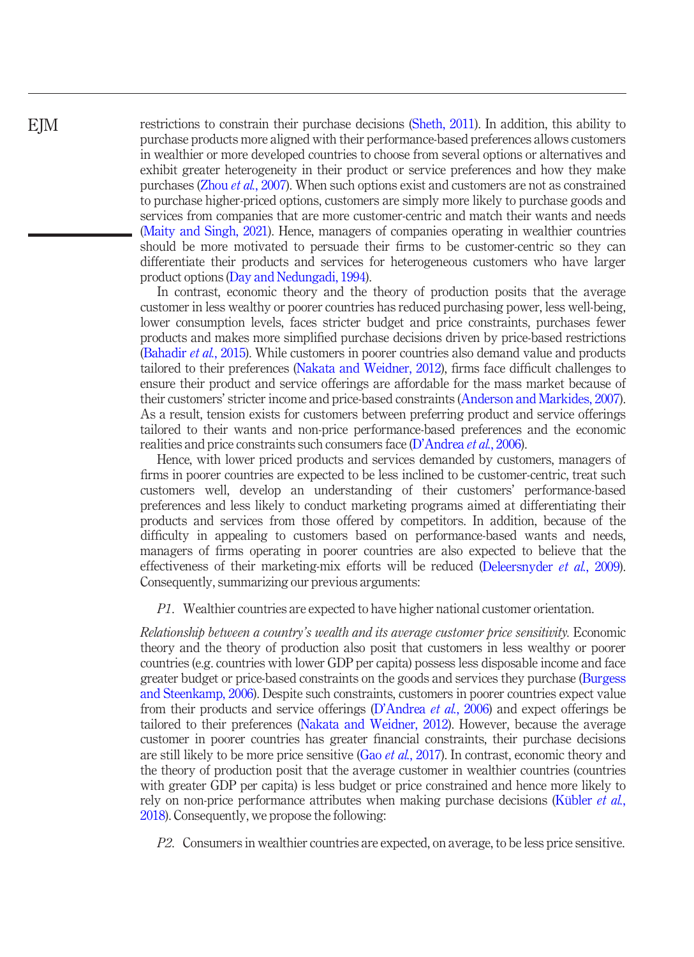restrictions to constrain their purchase decisions [\(Sheth, 2011](#page-26-13)). In addition, this ability to purchase products more aligned with their performance-based preferences allows customers in wealthier or more developed countries to choose from several options or alternatives and exhibit greater heterogeneity in their product or service preferences and how they make purchases (Zhou et al.[, 2007](#page-27-2)). When such options exist and customers are not as constrained to purchase higher-priced options, customers are simply more likely to purchase goods and services from companies that are more customer-centric and match their wants and needs [\(Maity and Singh, 2021\)](#page-25-4). Hence, managers of companies operating in wealthier countries should be more motivated to persuade their firms to be customer-centric so they can differentiate their products and services for heterogeneous customers who have larger product options [\(Day and Nedungadi, 1994\)](#page-23-11).

In contrast, economic theory and the theory of production posits that the average customer in less wealthy or poorer countries has reduced purchasing power, less well-being, lower consumption levels, faces stricter budget and price constraints, purchases fewer products and makes more simplified purchase decisions driven by price-based restrictions [\(Bahadir](#page-22-5) et al., 2015). While customers in poorer countries also demand value and products tailored to their preferences [\(Nakata and Weidner, 2012\)](#page-26-3), firms face difficult challenges to ensure their product and service offerings are affordable for the mass market because of their customers' stricter income and price-based constraints ([Anderson and Markides, 2007\)](#page-22-1). As a result, tension exists for customers between preferring product and service offerings tailored to their wants and non-price performance-based preferences and the economic realities and price constraints such consumers face (D'[Andrea](#page-23-5) et al., 2006).

Hence, with lower priced products and services demanded by customers, managers of firms in poorer countries are expected to be less inclined to be customer-centric, treat such customers well, develop an understanding of their customers' performance-based preferences and less likely to conduct marketing programs aimed at differentiating their products and services from those offered by competitors. In addition, because of the difficulty in appealing to customers based on performance-based wants and needs, managers of firms operating in poorer countries are also expected to believe that the effectiveness of their marketing-mix efforts will be reduced [\(Deleersnyder](#page-23-9) et al., 2009). Consequently, summarizing our previous arguments:

P1. Wealthier countries are expected to have higher national customer orientation.

Relationship between a country's wealth and its average customer price sensitivity. Economic theory and the theory of production also posit that customers in less wealthy or poorer countries (e.g. countries with lower GDP per capita) possess less disposable income and face greater budget or price-based constraints on the goods and services they purchase [\(Burgess](#page-23-12) [and Steenkamp, 2006](#page-23-12)). Despite such constraints, customers in poorer countries expect value from their products and service offerings (D'[Andrea](#page-23-5) et al., 2006) and expect offerings be tailored to their preferences ([Nakata and Weidner, 2012\)](#page-26-3). However, because the average customer in poorer countries has greater financial constraints, their purchase decisions are still likely to be more price sensitive (Gao *et al.*[, 2017\)](#page-24-13). In contrast, economic theory and the theory of production posit that the average customer in wealthier countries (countries with greater GDP per capita) is less budget or price constrained and hence more likely to rely on non-price performance attributes when making purchase decisions [\(Kübler](#page-25-10) *et al.*, [2018](#page-25-10)). Consequently, we propose the following:

P2. Consumers in wealthier countries are expected, on average, to be less price sensitive.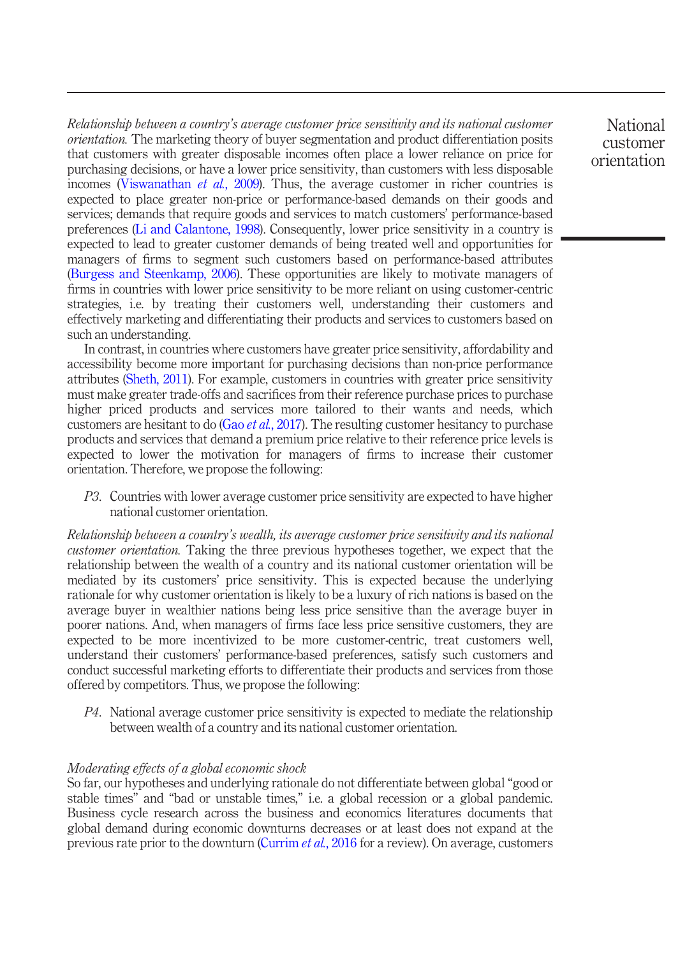Relationship between a country's average customer price sensitivity and its national customer orientation. The marketing theory of buyer segmentation and product differentiation posits that customers with greater disposable incomes often place a lower reliance on price for purchasing decisions, or have a lower price sensitivity, than customers with less disposable incomes ([Viswanathan](#page-27-1) et al., 2009). Thus, the average customer in richer countries is expected to place greater non-price or performance-based demands on their goods and services; demands that require goods and services to match customers' performance-based preferences [\(Li and Calantone, 1998\)](#page-25-12). Consequently, lower price sensitivity in a country is expected to lead to greater customer demands of being treated well and opportunities for managers of firms to segment such customers based on performance-based attributes [\(Burgess and Steenkamp, 2006](#page-23-12)). These opportunities are likely to motivate managers of firms in countries with lower price sensitivity to be more reliant on using customer-centric strategies, i.e. by treating their customers well, understanding their customers and effectively marketing and differentiating their products and services to customers based on such an understanding.

In contrast, in countries where customers have greater price sensitivity, affordability and accessibility become more important for purchasing decisions than non-price performance attributes ([Sheth, 2011\)](#page-26-13). For example, customers in countries with greater price sensitivity must make greater trade-offs and sacrifices from their reference purchase prices to purchase higher priced products and services more tailored to their wants and needs, which customers are hesitant to do (Gao *et al.*[, 2017\)](#page-24-13). The resulting customer hesitancy to purchase products and services that demand a premium price relative to their reference price levels is expected to lower the motivation for managers of firms to increase their customer orientation. Therefore, we propose the following:

P3. Countries with lower average customer price sensitivity are expected to have higher national customer orientation.

Relationship between a country's wealth, its average customer price sensitivity and its national customer orientation. Taking the three previous hypotheses together, we expect that the relationship between the wealth of a country and its national customer orientation will be mediated by its customers' price sensitivity. This is expected because the underlying rationale for why customer orientation is likely to be a luxury of rich nations is based on the average buyer in wealthier nations being less price sensitive than the average buyer in poorer nations. And, when managers of firms face less price sensitive customers, they are expected to be more incentivized to be more customer-centric, treat customers well, understand their customers' performance-based preferences, satisfy such customers and conduct successful marketing efforts to differentiate their products and services from those offered by competitors. Thus, we propose the following:

 $P4$ . National average customer price sensitivity is expected to mediate the relationship between wealth of a country and its national customer orientation.

## Moderating effects of a global economic shock

So far, our hypotheses and underlying rationale do not differentiate between global "good or stable times" and "bad or unstable times," i.e. a global recession or a global pandemic. Business cycle research across the business and economics literatures documents that global demand during economic downturns decreases or at least does not expand at the previous rate prior to the downturn [\(Currim](#page-23-13) *et al.*, 2016 for a review). On average, customers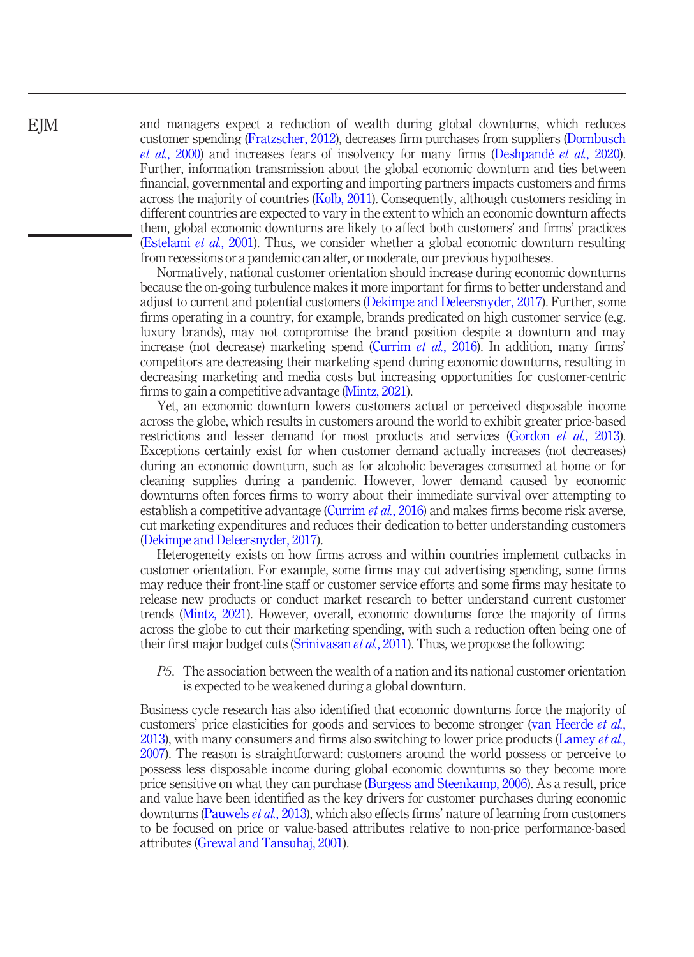and managers expect a reduction of wealth during global downturns, which reduces customer spending ([Fratzscher, 2012\)](#page-24-14), decreases firm purchases from suppliers [\(Dornbusch](#page-23-14) et al.[, 2000\)](#page-23-14) and increases fears of insolvency for many firms ([Deshpandé](#page-23-1) et al., 2020). Further, information transmission about the global economic downturn and ties between financial, governmental and exporting and importing partners impacts customers and firms across the majority of countries [\(Kolb, 2011\)](#page-25-13). Consequently, although customers residing in different countries are expected to vary in the extent to which an economic downturn affects them, global economic downturns are likely to affect both customers' and firms' practices [\(Estelami](#page-24-15) et al., 2001). Thus, we consider whether a global economic downturn resulting from recessions or a pandemic can alter, or moderate, our previous hypotheses.

Normatively, national customer orientation should increase during economic downturns because the on-going turbulence makes it more important for firms to better understand and adjust to current and potential customers ([Dekimpe and Deleersnyder, 2017](#page-23-15)). Further, some firms operating in a country, for example, brands predicated on high customer service (e.g. luxury brands), may not compromise the brand position despite a downturn and may increase (not decrease) marketing spend [\(Currim](#page-23-13) *et al.*, 2016). In addition, many firms' competitors are decreasing their marketing spend during economic downturns, resulting in decreasing marketing and media costs but increasing opportunities for customer-centric firms to gain a competitive advantage ([Mintz, 2021](#page-25-14)).

Yet, an economic downturn lowers customers actual or perceived disposable income across the globe, which results in customers around the world to exhibit greater price-based restrictions and lesser demand for most products and services ([Gordon](#page-24-16) et al., 2013). Exceptions certainly exist for when customer demand actually increases (not decreases) during an economic downturn, such as for alcoholic beverages consumed at home or for cleaning supplies during a pandemic. However, lower demand caused by economic downturns often forces firms to worry about their immediate survival over attempting to establish a competitive advantage ([Currim](#page-23-13) et al., 2016) and makes firms become risk averse, cut marketing expenditures and reduces their dedication to better understanding customers [\(Dekimpe and Deleersnyder, 2017](#page-23-15)).

Heterogeneity exists on how firms across and within countries implement cutbacks in customer orientation. For example, some firms may cut advertising spending, some firms may reduce their front-line staff or customer service efforts and some firms may hesitate to release new products or conduct market research to better understand current customer trends [\(Mintz, 2021\)](#page-25-14). However, overall, economic downturns force the majority of firms across the globe to cut their marketing spending, with such a reduction often being one of their first major budget cuts [\(Srinivasan](#page-26-14) *et al.*, 2011). Thus, we propose the following:

P5. The association between the wealth of a nation and its national customer orientation is expected to be weakened during a global downturn.

Business cycle research has also identified that economic downturns force the majority of customers' price elasticities for goods and services to become stronger ([van Heerde](#page-26-15) *et al.*, [2013](#page-26-15)), with many consumers and firms also switching to lower price products [\(Lamey](#page-25-15) *et al.*, [2007](#page-25-15)). The reason is straightforward: customers around the world possess or perceive to possess less disposable income during global economic downturns so they become more price sensitive on what they can purchase ([Burgess and Steenkamp, 2006\)](#page-23-12). As a result, price and value have been identified as the key drivers for customer purchases during economic downturns [\(Pauwels](#page-26-16) et al., 2013), which also effects firms' nature of learning from customers to be focused on price or value-based attributes relative to non-price performance-based attributes ([Grewal and Tansuhaj, 2001\)](#page-24-17).

**EIM**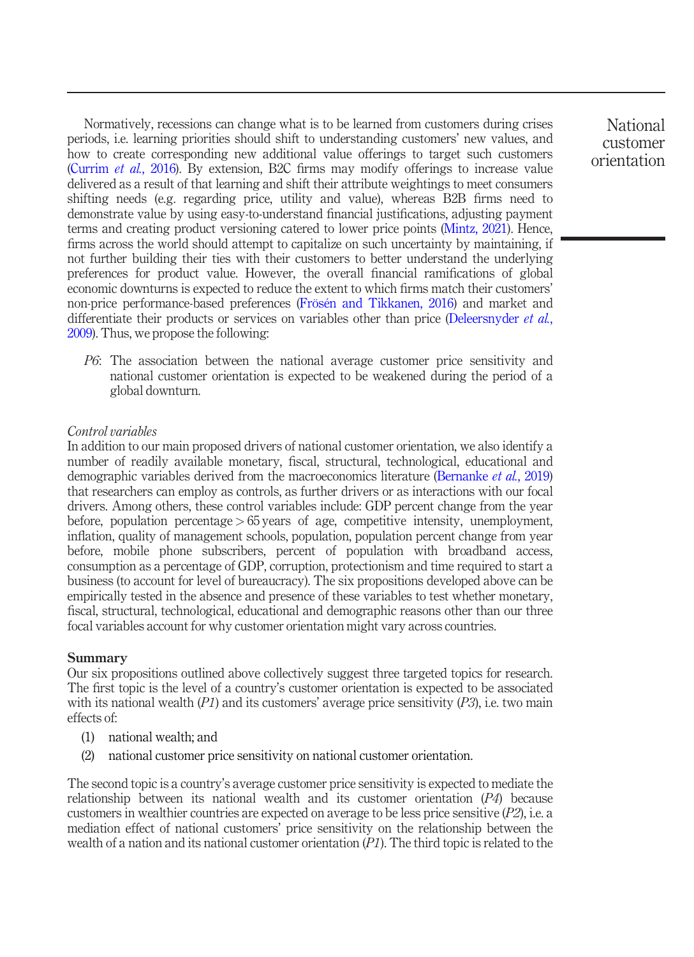Normatively, recessions can change what is to be learned from customers during crises periods, i.e. learning priorities should shift to understanding customers' new values, and how to create corresponding new additional value offerings to target such customers [\(Currim](#page-23-13) et al., 2016). By extension, B2C firms may modify offerings to increase value delivered as a result of that learning and shift their attribute weightings to meet consumers shifting needs (e.g. regarding price, utility and value), whereas B2B firms need to demonstrate value by using easy-to-understand financial justifications, adjusting payment terms and creating product versioning catered to lower price points ([Mintz, 2021\)](#page-25-14). Hence, firms across the world should attempt to capitalize on such uncertainty by maintaining, if not further building their ties with their customers to better understand the underlying preferences for product value. However, the overall financial ramifications of global economic downturns is expected to reduce the extent to which firms match their customers' non-price performance-based preferences [\(Frösén and Tikkanen, 2016\)](#page-24-18) and market and differentiate their products or services on variables other than price [\(Deleersnyder](#page-23-9) *et al.*, [2009\)](#page-23-9). Thus, we propose the following:

P6: The association between the national average customer price sensitivity and national customer orientation is expected to be weakened during the period of a global downturn.

## Control variables

In addition to our main proposed drivers of national customer orientation, we also identify a number of readily available monetary, fiscal, structural, technological, educational and demographic variables derived from the macroeconomics literature ([Bernanke](#page-22-0) *et al.*, 2019) that researchers can employ as controls, as further drivers or as interactions with our focal drivers. Among others, these control variables include: GDP percent change from the year before, population percentage > 65 years of age, competitive intensity, unemployment, inflation, quality of management schools, population, population percent change from year before, mobile phone subscribers, percent of population with broadband access, consumption as a percentage of GDP, corruption, protectionism and time required to start a business (to account for level of bureaucracy). The six propositions developed above can be empirically tested in the absence and presence of these variables to test whether monetary, fiscal, structural, technological, educational and demographic reasons other than our three focal variables account for why customer orientation might vary across countries.

#### Summary

Our six propositions outlined above collectively suggest three targeted topics for research. The first topic is the level of a country's customer orientation is expected to be associated with its national wealth  $(P1)$  and its customers' average price sensitivity  $(P3)$ , i.e. two main effects of:

- (1) national wealth; and
- (2) national customer price sensitivity on national customer orientation.

The second topic is a country's average customer price sensitivity is expected to mediate the relationship between its national wealth and its customer orientation (P4) because customers in wealthier countries are expected on average to be less price sensitive  $(P2)$ , i.e. a mediation effect of national customers' price sensitivity on the relationship between the wealth of a nation and its national customer orientation  $(P1)$ . The third topic is related to the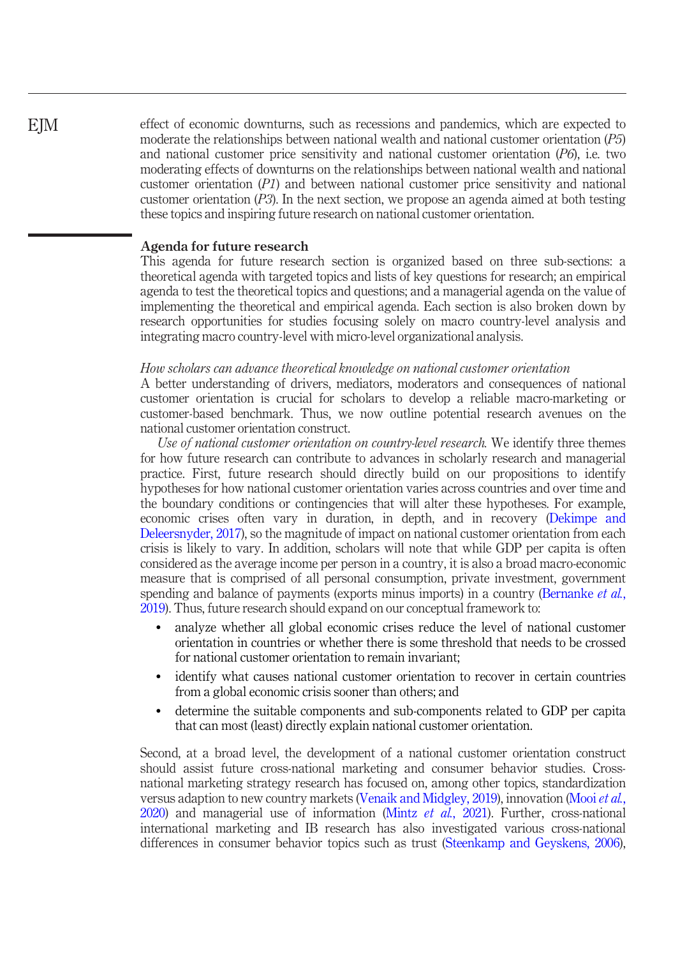effect of economic downturns, such as recessions and pandemics, which are expected to moderate the relationships between national wealth and national customer orientation (P5) and national customer price sensitivity and national customer orientation (P6), i.e. two moderating effects of downturns on the relationships between national wealth and national customer orientation  $(PI)$  and between national customer price sensitivity and national customer orientation  $(P3)$ . In the next section, we propose an agenda aimed at both testing these topics and inspiring future research on national customer orientation.

#### Agenda for future research

This agenda for future research section is organized based on three sub-sections: a theoretical agenda with targeted topics and lists of key questions for research; an empirical agenda to test the theoretical topics and questions; and a managerial agenda on the value of implementing the theoretical and empirical agenda. Each section is also broken down by research opportunities for studies focusing solely on macro country-level analysis and integrating macro country-level with micro-level organizational analysis.

#### How scholars can advance theoretical knowledge on national customer orientation

A better understanding of drivers, mediators, moderators and consequences of national customer orientation is crucial for scholars to develop a reliable macro-marketing or customer-based benchmark. Thus, we now outline potential research avenues on the national customer orientation construct.

Use of national customer orientation on country-level research. We identify three themes for how future research can contribute to advances in scholarly research and managerial practice. First, future research should directly build on our propositions to identify hypotheses for how national customer orientation varies across countries and over time and the boundary conditions or contingencies that will alter these hypotheses. For example, economic crises often vary in duration, in depth, and in recovery ([Dekimpe and](#page-23-15) [Deleersnyder, 2017](#page-23-15)), so the magnitude of impact on national customer orientation from each crisis is likely to vary. In addition, scholars will note that while GDP per capita is often considered as the average income per person in a country, it is also a broad macro-economic measure that is comprised of all personal consumption, private investment, government spending and balance of payments (exports minus imports) in a country ([Bernanke](#page-22-0) et al., [2019](#page-22-0)). Thus, future research should expand on our conceptual framework to:

- analyze whether all global economic crises reduce the level of national customer orientation in countries or whether there is some threshold that needs to be crossed for national customer orientation to remain invariant;
- identify what causes national customer orientation to recover in certain countries from a global economic crisis sooner than others; and
- determine the suitable components and sub-components related to GDP per capita that can most (least) directly explain national customer orientation.

Second, at a broad level, the development of a national customer orientation construct should assist future cross-national marketing and consumer behavior studies. Crossnational marketing strategy research has focused on, among other topics, standardization versus adaption to new country markets ([Venaik and Midgley, 2019\)](#page-26-2), innovation ([Mooi](#page-25-16) et al.,  $2020$ ) and managerial use of information (Mintz *et al.*,  $2021$ ). Further, cross-national international marketing and IB research has also investigated various cross-national differences in consumer behavior topics such as trust ([Steenkamp and Geyskens, 2006\)](#page-26-17),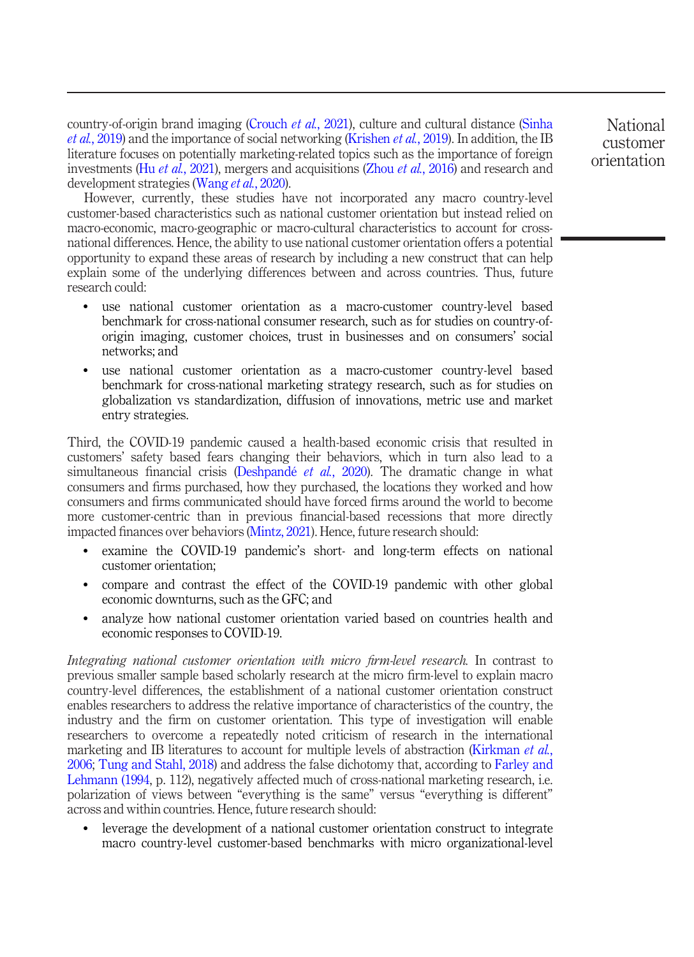country-of-origin brand imaging [\(Crouch](#page-23-16) *et al.*, 2021), culture and cultural distance ([Sinha](#page-26-18) et al.[, 2019\)](#page-26-18) and the importance of social networking ([Krishen](#page-25-17) et al., 2019). In addition, the IB literature focuses on potentially marketing-related topics such as the importance of foreign investments (Hu *et al.*[, 2021\)](#page-24-19), mergers and acquisitions (Zhou *et al.*[, 2016\)](#page-27-5) and research and development strategies [\(Wang](#page-27-6) *et al.*, 2020).

However, currently, these studies have not incorporated any macro country-level customer-based characteristics such as national customer orientation but instead relied on macro-economic, macro-geographic or macro-cultural characteristics to account for crossnational differences. Hence, the ability to use national customer orientation offers a potential opportunity to expand these areas of research by including a new construct that can help explain some of the underlying differences between and across countries. Thus, future research could:

- use national customer orientation as a macro-customer country-level based benchmark for cross-national consumer research, such as for studies on country-oforigin imaging, customer choices, trust in businesses and on consumers' social networks; and
- use national customer orientation as a macro-customer country-level based benchmark for cross-national marketing strategy research, such as for studies on globalization vs standardization, diffusion of innovations, metric use and market entry strategies.

Third, the COVID-19 pandemic caused a health-based economic crisis that resulted in customers' safety based fears changing their behaviors, which in turn also lead to a simultaneous financial crisis ([Deshpandé](#page-23-1) et al., 2020). The dramatic change in what consumers and firms purchased, how they purchased, the locations they worked and how consumers and firms communicated should have forced firms around the world to become more customer-centric than in previous financial-based recessions that more directly impacted finances over behaviors ([Mintz, 2021](#page-25-14)). Hence, future research should:

- examine the COVID-19 pandemic's short- and long-term effects on national customer orientation;
- compare and contrast the effect of the COVID-19 pandemic with other global economic downturns, such as the GFC; and
- analyze how national customer orientation varied based on countries health and economic responses to COVID-19.

Integrating national customer orientation with micro firm-level research. In contrast to previous smaller sample based scholarly research at the micro firm-level to explain macro country-level differences, the establishment of a national customer orientation construct enables researchers to address the relative importance of characteristics of the country, the industry and the firm on customer orientation. This type of investigation will enable researchers to overcome a repeatedly noted criticism of research in the international marketing and IB literatures to account for multiple levels of abstraction ([Kirkman](#page-25-7) *et al.*, [2006;](#page-25-7) [Tung and Stahl, 2018\)](#page-26-6) and address the false dichotomy that, according to [Farley and](#page-24-8) [Lehmann \(1994](#page-24-8), p. 112), negatively affected much of cross-national marketing research, i.e. polarization of views between "everything is the same" versus "everything is different" across and within countries. Hence, future research should:

 leverage the development of a national customer orientation construct to integrate macro country-level customer-based benchmarks with micro organizational-level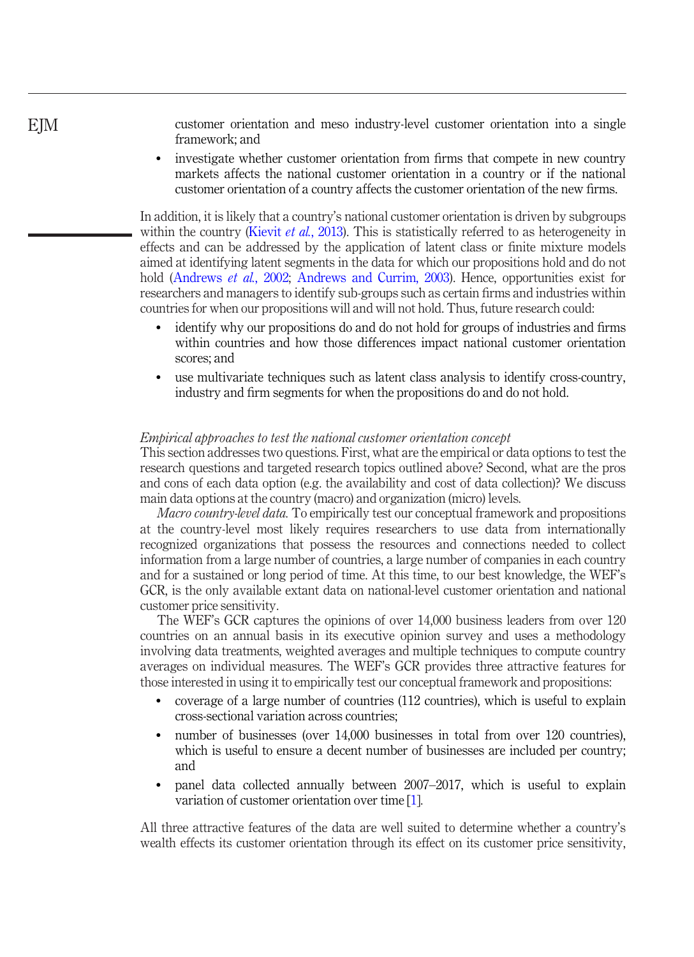customer orientation and meso industry-level customer orientation into a single framework; and

 investigate whether customer orientation from firms that compete in new country markets affects the national customer orientation in a country or if the national customer orientation of a country affects the customer orientation of the new firms.

In addition, it is likely that a country's national customer orientation is driven by subgroups within the country [\(Kievit](#page-24-11) *et al.*, 2013). This is statistically referred to as heterogeneity in effects and can be addressed by the application of latent class or finite mixture models aimed at identifying latent segments in the data for which our propositions hold and do not hold [\(Andrews](#page-22-2) et al., 2002; [Andrews and Currim, 2003\)](#page-22-3). Hence, opportunities exist for researchers and managers to identify sub-groups such as certain firms and industries within countries for when our propositions will and will not hold. Thus, future research could:

- identify why our propositions do and do not hold for groups of industries and firms within countries and how those differences impact national customer orientation scores; and
- use multivariate techniques such as latent class analysis to identify cross-country, industry and firm segments for when the propositions do and do not hold.

#### Empirical approaches to test the national customer orientation concept

This section addresses two questions. First, what are the empirical or data options to test the research questions and targeted research topics outlined above? Second, what are the pros and cons of each data option (e.g. the availability and cost of data collection)? We discuss main data options at the country (macro) and organization (micro) levels.

Macro country-level data. To empirically test our conceptual framework and propositions at the country-level most likely requires researchers to use data from internationally recognized organizations that possess the resources and connections needed to collect information from a large number of countries, a large number of companies in each country and for a sustained or long period of time. At this time, to our best knowledge, the WEF's GCR, is the only available extant data on national-level customer orientation and national customer price sensitivity.

The WEF's GCR captures the opinions of over 14,000 business leaders from over 120 countries on an annual basis in its executive opinion survey and uses a methodology involving data treatments, weighted averages and multiple techniques to compute country averages on individual measures. The WEF's GCR provides three attractive features for those interested in using it to empirically test our conceptual framework and propositions:

- coverage of a large number of countries (112 countries), which is useful to explain cross-sectional variation across countries;
- number of businesses (over 14,000 businesses in total from over 120 countries), which is useful to ensure a decent number of businesses are included per country; and
- panel data collected annually between 2007–2017, which is useful to explain variation of customer orientation over time [[1](#page-22-6)].

All three attractive features of the data are well suited to determine whether a country's wealth effects its customer orientation through its effect on its customer price sensitivity,

# EJM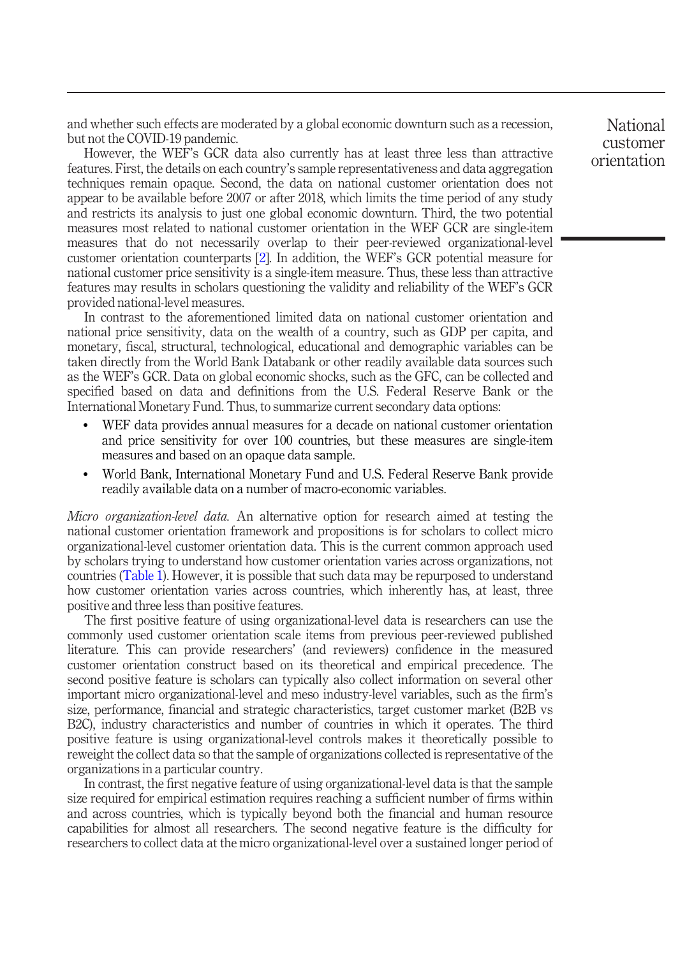and whether such effects are moderated by a global economic downturn such as a recession, but not the COVID-19 pandemic.

However, the WEF's GCR data also currently has at least three less than attractive features. First, the details on each country's sample representativeness and data aggregation techniques remain opaque. Second, the data on national customer orientation does not appear to be available before 2007 or after 2018, which limits the time period of any study and restricts its analysis to just one global economic downturn. Third, the two potential measures most related to national customer orientation in the WEF GCR are single-item measures that do not necessarily overlap to their peer-reviewed organizational-level customer orientation counterparts [\[2\]](#page-22-7). In addition, the WEF's GCR potential measure for national customer price sensitivity is a single-item measure. Thus, these less than attractive features may results in scholars questioning the validity and reliability of the WEF's GCR provided national-level measures.

In contrast to the aforementioned limited data on national customer orientation and national price sensitivity, data on the wealth of a country, such as GDP per capita, and monetary, fiscal, structural, technological, educational and demographic variables can be taken directly from the World Bank Databank or other readily available data sources such as the WEF's GCR. Data on global economic shocks, such as the GFC, can be collected and specified based on data and definitions from the U.S. Federal Reserve Bank or the International Monetary Fund. Thus, to summarize current secondary data options:

- WEF data provides annual measures for a decade on national customer orientation and price sensitivity for over 100 countries, but these measures are single-item measures and based on an opaque data sample.
- World Bank, International Monetary Fund and U.S. Federal Reserve Bank provide readily available data on a number of macro-economic variables.

Micro organization-level data. An alternative option for research aimed at testing the national customer orientation framework and propositions is for scholars to collect micro organizational-level customer orientation data. This is the current common approach used by scholars trying to understand how customer orientation varies across organizations, not countries [\(Table 1\)](#page-2-0). However, it is possible that such data may be repurposed to understand how customer orientation varies across countries, which inherently has, at least, three positive and three less than positive features.

The first positive feature of using organizational-level data is researchers can use the commonly used customer orientation scale items from previous peer-reviewed published literature. This can provide researchers' (and reviewers) confidence in the measured customer orientation construct based on its theoretical and empirical precedence. The second positive feature is scholars can typically also collect information on several other important micro organizational-level and meso industry-level variables, such as the firm's size, performance, financial and strategic characteristics, target customer market (B2B vs B2C), industry characteristics and number of countries in which it operates. The third positive feature is using organizational-level controls makes it theoretically possible to reweight the collect data so that the sample of organizations collected is representative of the organizations in a particular country.

In contrast, the first negative feature of using organizational-level data is that the sample size required for empirical estimation requires reaching a sufficient number of firms within and across countries, which is typically beyond both the financial and human resource capabilities for almost all researchers. The second negative feature is the difficulty for researchers to collect data at the micro organizational-level over a sustained longer period of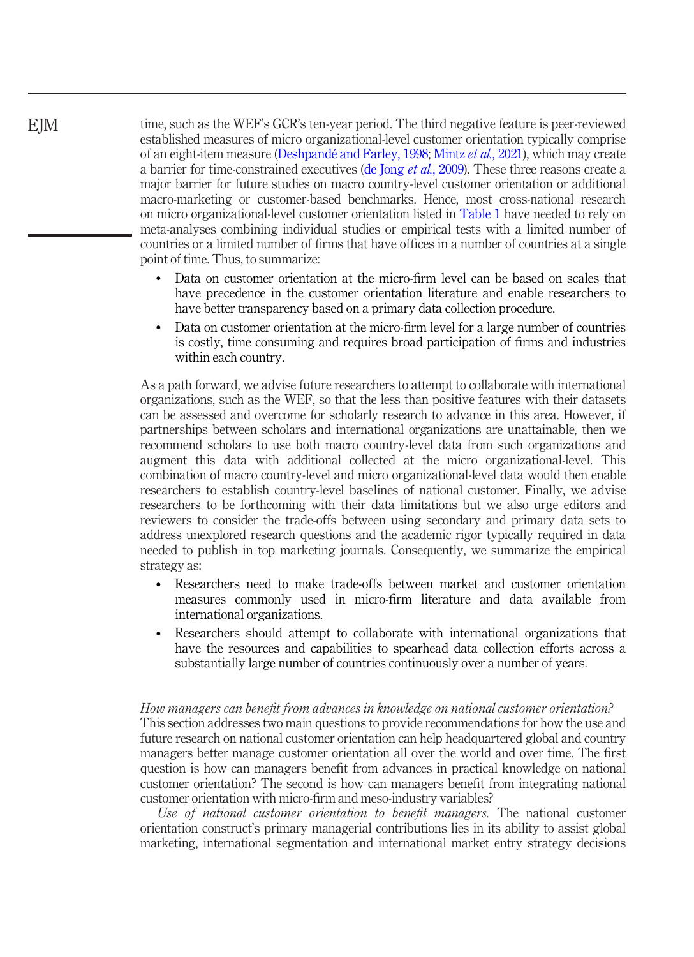time, such as the WEF's GCR's ten-year period. The third negative feature is peer-reviewed established measures of micro organizational-level customer orientation typically comprise of an eight-item measure ([Deshpandé and Farley, 1998](#page-23-17); Mintz et al.[, 2021\)](#page-25-5), which may create a barrier for time-constrained executives ([de Jong](#page-23-18) et al., 2009). These three reasons create a major barrier for future studies on macro country-level customer orientation or additional macro-marketing or customer-based benchmarks. Hence, most cross-national research on micro organizational-level customer orientation listed in [Table 1](#page-2-0) have needed to rely on meta-analyses combining individual studies or empirical tests with a limited number of countries or a limited number of firms that have offices in a number of countries at a single point of time. Thus, to summarize:

- Data on customer orientation at the micro-firm level can be based on scales that have precedence in the customer orientation literature and enable researchers to have better transparency based on a primary data collection procedure.
- Data on customer orientation at the micro-firm level for a large number of countries is costly, time consuming and requires broad participation of firms and industries within each country.

As a path forward, we advise future researchers to attempt to collaborate with international organizations, such as the WEF, so that the less than positive features with their datasets can be assessed and overcome for scholarly research to advance in this area. However, if partnerships between scholars and international organizations are unattainable, then we recommend scholars to use both macro country-level data from such organizations and augment this data with additional collected at the micro organizational-level. This combination of macro country-level and micro organizational-level data would then enable researchers to establish country-level baselines of national customer. Finally, we advise researchers to be forthcoming with their data limitations but we also urge editors and reviewers to consider the trade-offs between using secondary and primary data sets to address unexplored research questions and the academic rigor typically required in data needed to publish in top marketing journals. Consequently, we summarize the empirical strategy as:

- Researchers need to make trade-offs between market and customer orientation measures commonly used in micro-firm literature and data available from international organizations.
- Researchers should attempt to collaborate with international organizations that have the resources and capabilities to spearhead data collection efforts across a substantially large number of countries continuously over a number of years.

# How managers can benefit from advances in knowledge on national customer orientation? This section addresses two main questions to provide recommendations for how the use and future research on national customer orientation can help headquartered global and country managers better manage customer orientation all over the world and over time. The first question is how can managers benefit from advances in practical knowledge on national customer orientation? The second is how can managers benefit from integrating national customer orientation with micro-firm and meso-industry variables?

Use of national customer orientation to benefit managers. The national customer orientation construct's primary managerial contributions lies in its ability to assist global marketing, international segmentation and international market entry strategy decisions

**EIM**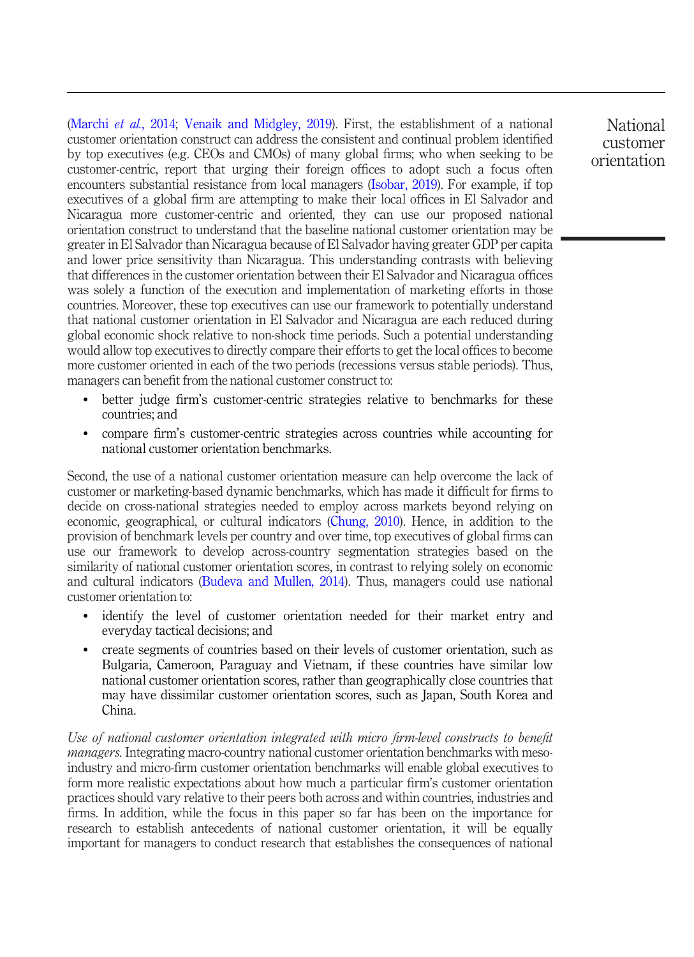[\(Marchi](#page-25-2) et al., 2014; [Venaik and Midgley, 2019\)](#page-26-2). First, the establishment of a national customer orientation construct can address the consistent and continual problem identified by top executives (e.g. CEOs and CMOs) of many global firms; who when seeking to be customer-centric, report that urging their foreign offices to adopt such a focus often encounters substantial resistance from local managers [\(Isobar, 2019\)](#page-24-1). For example, if top executives of a global firm are attempting to make their local offices in El Salvador and Nicaragua more customer-centric and oriented, they can use our proposed national orientation construct to understand that the baseline national customer orientation may be greater in El Salvador than Nicaragua because of El Salvador having greater GDP per capita and lower price sensitivity than Nicaragua. This understanding contrasts with believing that differences in the customer orientation between their El Salvador and Nicaragua offices was solely a function of the execution and implementation of marketing efforts in those countries. Moreover, these top executives can use our framework to potentially understand that national customer orientation in El Salvador and Nicaragua are each reduced during global economic shock relative to non-shock time periods. Such a potential understanding would allow top executives to directly compare their efforts to get the local offices to become more customer oriented in each of the two periods (recessions versus stable periods). Thus, managers can benefit from the national customer construct to:

- better judge firm's customer-centric strategies relative to benchmarks for these countries; and
- compare firm's customer-centric strategies across countries while accounting for national customer orientation benchmarks.

Second, the use of a national customer orientation measure can help overcome the lack of customer or marketing-based dynamic benchmarks, which has made it difficult for firms to decide on cross-national strategies needed to employ across markets beyond relying on economic, geographical, or cultural indicators [\(Chung, 2010](#page-23-2)). Hence, in addition to the provision of benchmark levels per country and over time, top executives of global firms can use our framework to develop across-country segmentation strategies based on the similarity of national customer orientation scores, in contrast to relying solely on economic and cultural indicators ([Budeva and Mullen, 2014](#page-23-0)). Thus, managers could use national customer orientation to:

- identify the level of customer orientation needed for their market entry and everyday tactical decisions; and
- create segments of countries based on their levels of customer orientation, such as Bulgaria, Cameroon, Paraguay and Vietnam, if these countries have similar low national customer orientation scores, rather than geographically close countries that may have dissimilar customer orientation scores, such as Japan, South Korea and China.

Use of national customer orientation integrated with micro firm-level constructs to benefit *managers*. Integrating macro-country national customer orientation benchmarks with mesoindustry and micro-firm customer orientation benchmarks will enable global executives to form more realistic expectations about how much a particular firm's customer orientation practices should vary relative to their peers both across and within countries, industries and firms. In addition, while the focus in this paper so far has been on the importance for research to establish antecedents of national customer orientation, it will be equally important for managers to conduct research that establishes the consequences of national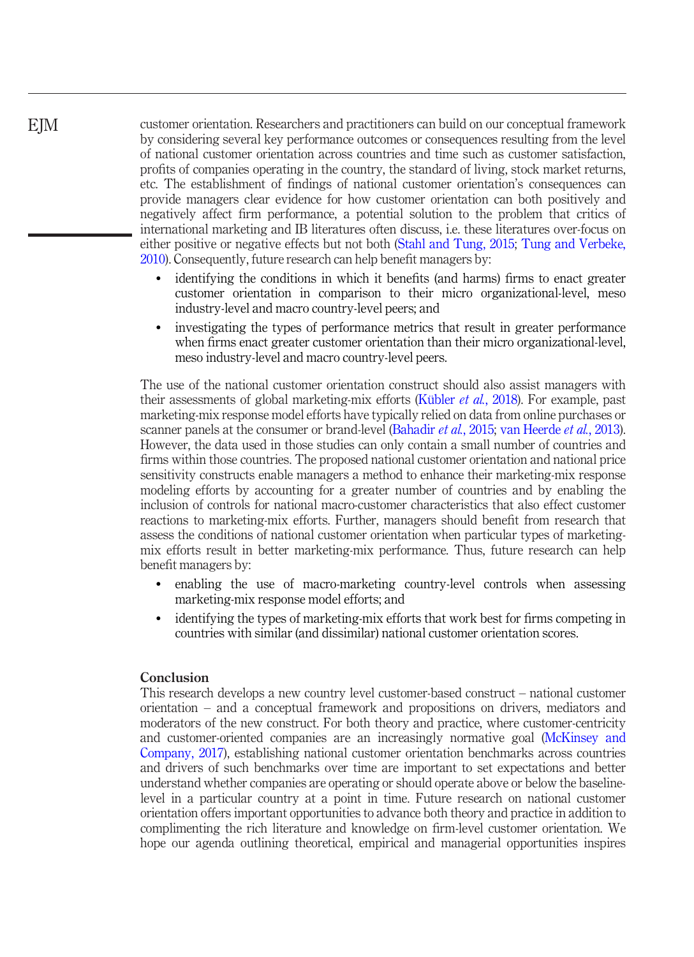customer orientation. Researchers and practitioners can build on our conceptual framework by considering several key performance outcomes or consequences resulting from the level of national customer orientation across countries and time such as customer satisfaction, profits of companies operating in the country, the standard of living, stock market returns, etc. The establishment of findings of national customer orientation's consequences can provide managers clear evidence for how customer orientation can both positively and negatively affect firm performance, a potential solution to the problem that critics of international marketing and IB literatures often discuss, i.e. these literatures over-focus on either positive or negative effects but not both ([Stahl and Tung, 2015;](#page-26-19) [Tung and Verbeke,](#page-26-20) [2010](#page-26-20)). Consequently, future research can help benefit managers by:

- identifying the conditions in which it benefits (and harms) firms to enact greater customer orientation in comparison to their micro organizational-level, meso industry-level and macro country-level peers; and
- investigating the types of performance metrics that result in greater performance when firms enact greater customer orientation than their micro organizational-level, meso industry-level and macro country-level peers.

The use of the national customer orientation construct should also assist managers with their assessments of global marketing-mix efforts ([Kübler](#page-25-10) et al., 2018). For example, past marketing-mix response model efforts have typically relied on data from online purchases or scanner panels at the consumer or brand-level [\(Bahadir](#page-22-5) *et al.*, 2015; [van Heerde](#page-26-15) *et al.*, 2013). However, the data used in those studies can only contain a small number of countries and firms within those countries. The proposed national customer orientation and national price sensitivity constructs enable managers a method to enhance their marketing-mix response modeling efforts by accounting for a greater number of countries and by enabling the inclusion of controls for national macro-customer characteristics that also effect customer reactions to marketing-mix efforts. Further, managers should benefit from research that assess the conditions of national customer orientation when particular types of marketingmix efforts result in better marketing-mix performance. Thus, future research can help benefit managers by:

- enabling the use of macro-marketing country-level controls when assessing marketing-mix response model efforts; and
- identifying the types of marketing-mix efforts that work best for firms competing in countries with similar (and dissimilar) national customer orientation scores.

## **Conclusion**

This research develops a new country level customer-based construct – national customer orientation – and a conceptual framework and propositions on drivers, mediators and moderators of the new construct. For both theory and practice, where customer-centricity and customer-oriented companies are an increasingly normative goal [\(McKinsey and](#page-25-3) [Company, 2017](#page-25-3)), establishing national customer orientation benchmarks across countries and drivers of such benchmarks over time are important to set expectations and better understand whether companies are operating or should operate above or below the baselinelevel in a particular country at a point in time. Future research on national customer orientation offers important opportunities to advance both theory and practice in addition to complimenting the rich literature and knowledge on firm-level customer orientation. We hope our agenda outlining theoretical, empirical and managerial opportunities inspires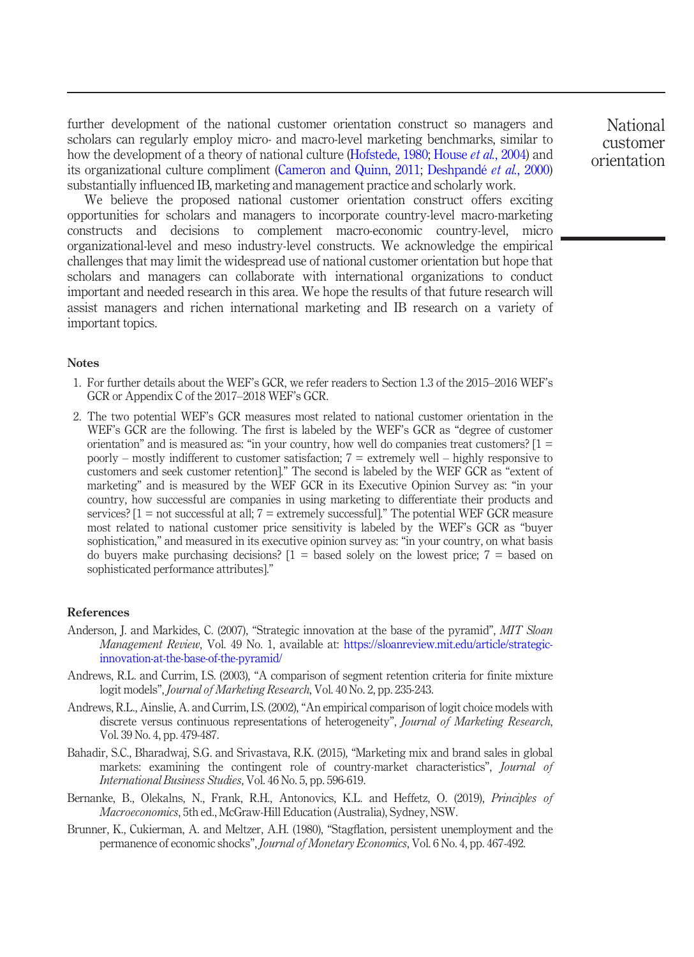further development of the national customer orientation construct so managers and scholars can regularly employ micro- and macro-level marketing benchmarks, similar to how the development of a theory of national culture [\(Hofstede, 1980](#page-24-2); [House](#page-24-20) et al., 2004) and its organizational culture compliment ([Cameron and Quinn, 2011;](#page-23-19) [Deshpandé](#page-23-3) et al., 2000) substantially influenced IB, marketing and management practice and scholarly work.

We believe the proposed national customer orientation construct offers exciting opportunities for scholars and managers to incorporate country-level macro-marketing constructs and decisions to complement macro-economic country-level, micro organizational-level and meso industry-level constructs. We acknowledge the empirical challenges that may limit the widespread use of national customer orientation but hope that scholars and managers can collaborate with international organizations to conduct important and needed research in this area. We hope the results of that future research will assist managers and richen international marketing and IB research on a variety of important topics.

# Notes

- <span id="page-22-6"></span>1. For further details about the WEF's GCR, we refer readers to Section 1.3 of the 2015–2016 WEF's GCR or Appendix C of the 2017–2018 WEF's GCR.
- <span id="page-22-7"></span>2. The two potential WEF's GCR measures most related to national customer orientation in the WEF's GCR are the following. The first is labeled by the WEF's GCR as "degree of customer orientation" and is measured as: "in your country, how well do companies treat customers?  $[1 =$ poorly – mostly indifferent to customer satisfaction;  $7 =$  extremely well – highly responsive to customers and seek customer retention]." The second is labeled by the WEF GCR as "extent of marketing" and is measured by the WEF GCR in its Executive Opinion Survey as: "in your country, how successful are companies in using marketing to differentiate their products and services?  $[1 = not successful at all; 7 = extremely successful."$  The potential WEF GCR measure most related to national customer price sensitivity is labeled by the WEF's GCR as "buyer sophistication," and measured in its executive opinion survey as: "in your country, on what basis do buyers make purchasing decisions?  $[1 =$  based solely on the lowest price;  $7 =$  based on sophisticated performance attributes]."

#### References

- <span id="page-22-1"></span>Anderson, J. and Markides, C. (2007), "Strategic innovation at the base of the pyramid", MIT Sloan Management Review, Vol. 49 No. 1, available at: [https://sloanreview.mit.edu/article/strategic](https://sloanreview.mit.edu/article/strategic-innovation-at-the-base-of-the-pyramid/)[innovation-at-the-base-of-the-pyramid/](https://sloanreview.mit.edu/article/strategic-innovation-at-the-base-of-the-pyramid/)
- <span id="page-22-3"></span>Andrews, R.L. and Currim, I.S. (2003), "A comparison of segment retention criteria for finite mixture logit models", Journal of Marketing Research, Vol. 40 No. 2, pp. 235-243.
- <span id="page-22-2"></span>Andrews, R.L., Ainslie, A. and Currim, I.S. (2002), "An empirical comparison of logit choice models with discrete versus continuous representations of heterogeneity", Journal of Marketing Research, Vol. 39 No. 4, pp. 479-487.
- <span id="page-22-5"></span>Bahadir, S.C., Bharadwaj, S.G. and Srivastava, R.K. (2015), "Marketing mix and brand sales in global markets: examining the contingent role of country-market characteristics", Journal of International Business Studies, Vol. 46 No. 5, pp. 596-619.
- <span id="page-22-0"></span>Bernanke, B., Olekalns, N., Frank, R.H., Antonovics, K.L. and Heffetz, O. (2019), *Principles of* Macroeconomics, 5th ed., McGraw-Hill Education (Australia), Sydney, NSW.
- <span id="page-22-4"></span>Brunner, K., Cukierman, A. and Meltzer, A.H. (1980), "Stagflation, persistent unemployment and the permanence of economic shocks", Journal of Monetary Economics, Vol. 6 No. 4, pp. 467-492.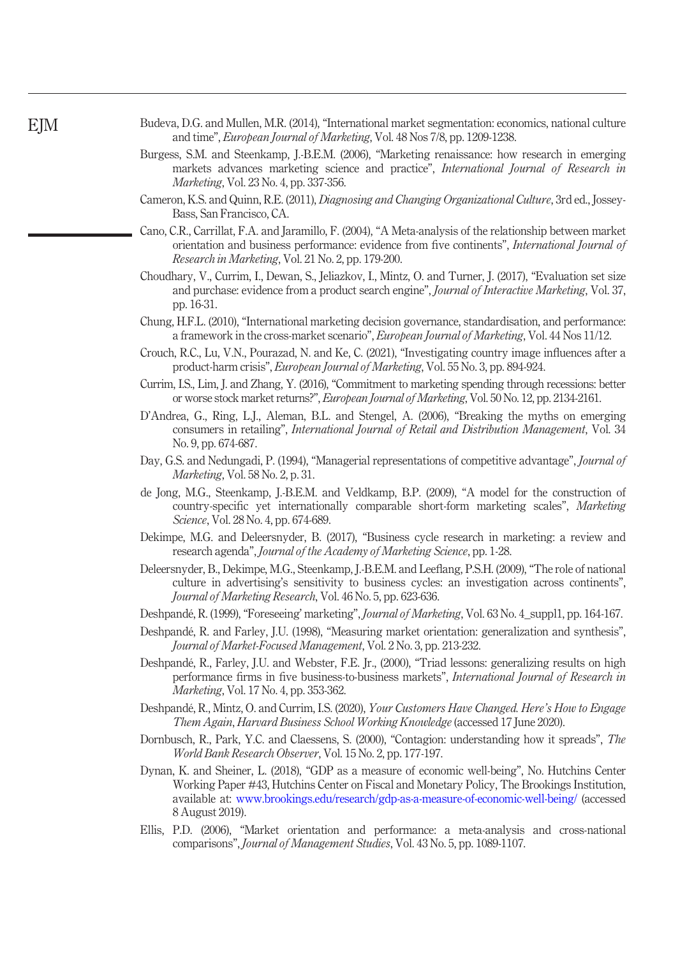- <span id="page-23-0"></span>Budeva, D.G. and Mullen, M.R. (2014), "International market segmentation: economics, national culture and time", European Journal of Marketing, Vol. 48 Nos 7/8, pp. 1209-1238.
- <span id="page-23-12"></span>Burgess, S.M. and Steenkamp, J.-B.E.M. (2006), "Marketing renaissance: how research in emerging markets advances marketing science and practice", *International Journal of Research in* Marketing, Vol. 23 No. 4, pp. 337-356.
- <span id="page-23-19"></span>Cameron, K.S. and Quinn, R.E. (2011), Diagnosing and Changing Organizational Culture, 3rd ed., Jossey-Bass, San Francisco, CA.
- <span id="page-23-4"></span>Cano, C.R., Carrillat, F.A. and Jaramillo, F. (2004), "A Meta-analysis of the relationship between market orientation and business performance: evidence from five continents", International Journal of Research in Marketing, Vol. 21 No. 2, pp. 179-200.
- <span id="page-23-8"></span>Choudhary, V., Currim, I., Dewan, S., Jeliazkov, I., Mintz, O. and Turner, J. (2017), "Evaluation set size and purchase: evidence from a product search engine", Journal of Interactive Marketing, Vol. 37, pp. 16-31.
- <span id="page-23-2"></span>Chung, H.F.L. (2010), "International marketing decision governance, standardisation, and performance: a framework in the cross-market scenario", European Journal of Marketing, Vol. 44 Nos 11/12.
- <span id="page-23-16"></span>Crouch, R.C., Lu, V.N., Pourazad, N. and Ke, C. (2021), "Investigating country image influences after a product-harm crisis", European Journal of Marketing, Vol. 55 No. 3, pp. 894-924.
- <span id="page-23-13"></span>Currim, I.S., Lim, J. and Zhang, Y. (2016), "Commitment to marketing spending through recessions: better or worse stock market returns?", European Journal of Marketing, Vol. 50 No. 12, pp. 2134-2161.
- <span id="page-23-5"></span>D'Andrea, G., Ring, L.J., Aleman, B.L. and Stengel, A. (2006), "Breaking the myths on emerging consumers in retailing", International Journal of Retail and Distribution Management, Vol. 34 No. 9, pp. 674-687.
- <span id="page-23-11"></span>Day, G.S. and Nedungadi, P. (1994), "Managerial representations of competitive advantage", *Journal of* Marketing, Vol. 58 No. 2, p. 31.
- <span id="page-23-18"></span>de Jong, M.G., Steenkamp, J.-B.E.M. and Veldkamp, B.P. (2009), "A model for the construction of country-specific yet internationally comparable short-form marketing scales", Marketing Science, Vol. 28 No. 4, pp. 674-689.
- <span id="page-23-15"></span>Dekimpe, M.G. and Deleersnyder, B. (2017), "Business cycle research in marketing: a review and research agenda", Journal of the Academy of Marketing Science, pp. 1-28.
- <span id="page-23-9"></span>Deleersnyder, B., Dekimpe, M.G., Steenkamp, J.-B.E.M. and Leeflang, P.S.H. (2009), "The role of national culture in advertising's sensitivity to business cycles: an investigation across continents", Journal of Marketing Research, Vol. 46 No. 5, pp. 623-636.
- <span id="page-23-7"></span>Deshpandé, R. (1999), "Foreseeing' marketing", *Journal of Marketing*, Vol. 63 No. 4\_suppl1, pp. 164-167.
- <span id="page-23-17"></span>Deshpandé, R. and Farley, J.U. (1998), "Measuring market orientation: generalization and synthesis", Journal of Market-Focused Management, Vol. 2 No. 3, pp. 213-232.
- <span id="page-23-3"></span>Deshpandé, R., Farley, J.U. and Webster, F.E. Jr., (2000), "Triad lessons: generalizing results on high performance firms in five business-to-business markets", International Journal of Research in Marketing, Vol. 17 No. 4, pp. 353-362.
- <span id="page-23-1"></span>Deshpandé, R., Mintz, O. and Currim, I.S. (2020), Your Customers Have Changed. Here's How to Engage Them Again, Harvard Business School Working Knowledge (accessed 17 June 2020).
- <span id="page-23-14"></span>Dornbusch, R., Park, Y.C. and Claessens, S. (2000), "Contagion: understanding how it spreads", The World Bank Research Observer, Vol. 15 No. 2, pp. 177-197.
- <span id="page-23-10"></span>Dynan, K. and Sheiner, L. (2018), "GDP as a measure of economic well-being", No. Hutchins Center Working Paper #43, Hutchins Center on Fiscal and Monetary Policy, The Brookings Institution, available at: [www.brookings.edu/research/gdp-as-a-measure-of-economic-well-being/](https://www.brookings.edu/research/gdp-as-a-measure-of-economic-well-being/) (accessed 8 August 2019).
- <span id="page-23-6"></span>Ellis, P.D. (2006), "Market orientation and performance: a meta-analysis and cross-national comparisons", Journal of Management Studies, Vol. 43 No. 5, pp. 1089-1107.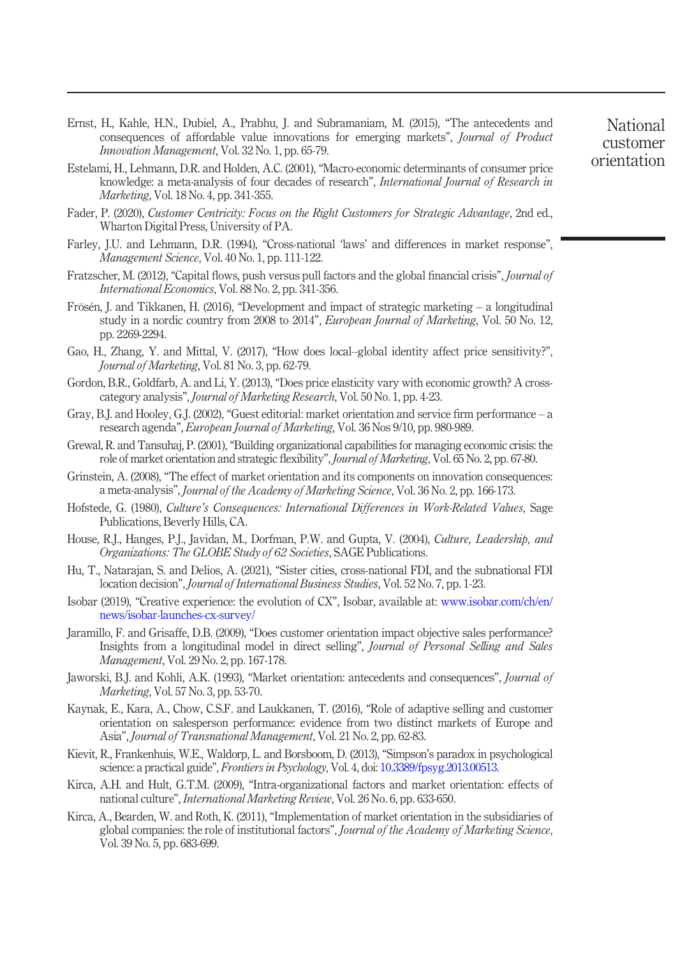- <span id="page-24-3"></span>Ernst, H., Kahle, H.N., Dubiel, A., Prabhu, J. and Subramaniam, M. (2015), "The antecedents and consequences of affordable value innovations for emerging markets", Journal of Product Innovation Management, Vol. 32 No. 1, pp. 65-79.
- <span id="page-24-15"></span>Estelami, H., Lehmann, D.R. and Holden, A.C. (2001), "Macro-economic determinants of consumer price knowledge: a meta-analysis of four decades of research", International Journal of Research in Marketing, Vol. 18 No. 4, pp. 341-355.
- <span id="page-24-0"></span>Fader, P. (2020), Customer Centricity: Focus on the Right Customers for Strategic Advantage, 2nd ed., Wharton Digital Press, University of PA.
- <span id="page-24-8"></span>Farley, J.U. and Lehmann, D.R. (1994), "Cross-national 'laws' and differences in market response", Management Science, Vol. 40 No. 1, pp. 111-122.
- <span id="page-24-14"></span>Fratzscher, M. (2012), "Capital flows, push versus pull factors and the global financial crisis", Journal of International Economics, Vol. 88 No. 2, pp. 341-356.
- <span id="page-24-18"></span>Frösén, J. and Tikkanen, H. (2016), "Development and impact of strategic marketing – a longitudinal study in a nordic country from 2008 to 2014", European Journal of Marketing, Vol. 50 No. 12, pp. 2269-2294.
- <span id="page-24-13"></span>Gao, H., Zhang, Y. and Mittal, V. (2017), "How does local–global identity affect price sensitivity?", Journal of Marketing, Vol. 81 No. 3, pp. 62-79.
- <span id="page-24-16"></span>Gordon, B.R., Goldfarb, A. and Li, Y. (2013), "Does price elasticity vary with economic growth? A crosscategory analysis", Journal of Marketing Research, Vol. 50 No. 1, pp. 4-23.
- <span id="page-24-9"></span>Gray, B.J. and Hooley, G.J. (2002), "Guest editorial: market orientation and service firm performance – a research agenda", European Journal of Marketing, Vol. 36 Nos 9/10, pp. 980-989.
- <span id="page-24-17"></span>Grewal, R. and Tansuhaj, P. (2001),"Building organizational capabilities for managing economic crisis: the role of market orientation and strategic flexibility", Journal of Marketing, Vol. 65 No. 2, pp. 67-80.
- <span id="page-24-4"></span>Grinstein, A. (2008), "The effect of market orientation and its components on innovation consequences: a meta-analysis", Journal of the Academy of Marketing Science, Vol. 36 No. 2, pp. 166-173.
- <span id="page-24-2"></span>Hofstede, G. (1980), Culture's Consequences: International Differences in Work-Related Values, Sage Publications, Beverly Hills, CA.
- <span id="page-24-20"></span>House, R.J., Hanges, P.J., Javidan, M., Dorfman, P.W. and Gupta, V. (2004), Culture, Leadership, and Organizations: The GLOBE Study of 62 Societies, SAGE Publications.
- <span id="page-24-19"></span>Hu, T., Natarajan, S. and Delios, A. (2021), "Sister cities, cross-national FDI, and the subnational FDI location decision", Journal of International Business Studies, Vol. 52 No. 7, pp. 1-23.
- <span id="page-24-1"></span>Isobar (2019), "Creative experience: the evolution of CX", Isobar, available at: [www.isobar.com/ch/en/](https://www.isobar.com/ch/en/news/isobar-launches-cx-survey/) [news/isobar-launches-cx-survey/](https://www.isobar.com/ch/en/news/isobar-launches-cx-survey/)
- <span id="page-24-10"></span>Jaramillo, F. and Grisaffe, D.B. (2009), "Does customer orientation impact objective sales performance? Insights from a longitudinal model in direct selling", Journal of Personal Selling and Sales Management, Vol. 29 No. 2, pp. 167-178.
- <span id="page-24-12"></span>Jaworski, B.J. and Kohli, A.K. (1993), "Market orientation: antecedents and consequences", Journal of Marketing, Vol. 57 No. 3, pp. 53-70.
- <span id="page-24-5"></span>Kaynak, E., Kara, A., Chow, C.S.F. and Laukkanen, T. (2016), "Role of adaptive selling and customer orientation on salesperson performance: evidence from two distinct markets of Europe and Asia", Journal of Transnational Management, Vol. 21 No. 2, pp. 62-83.
- <span id="page-24-11"></span>Kievit, R., Frankenhuis, W.E., Waldorp, L. and Borsboom, D. (2013), "Simpson's paradox in psychological science: a practical guide", Frontiers in Psychology, Vol. 4, doi: [10.3389/fpsyg.2013.00513](http://dx.doi.org/10.3389/fpsyg.2013.00513).
- <span id="page-24-7"></span>Kirca, A.H. and Hult, G.T.M. (2009), "Intra-organizational factors and market orientation: effects of national culture", International Marketing Review, Vol. 26 No. 6, pp. 633-650.
- <span id="page-24-6"></span>Kirca, A., Bearden, W. and Roth, K. (2011), "Implementation of market orientation in the subsidiaries of global companies: the role of institutional factors", Journal of the Academy of Marketing Science, Vol. 39 No. 5, pp. 683-699.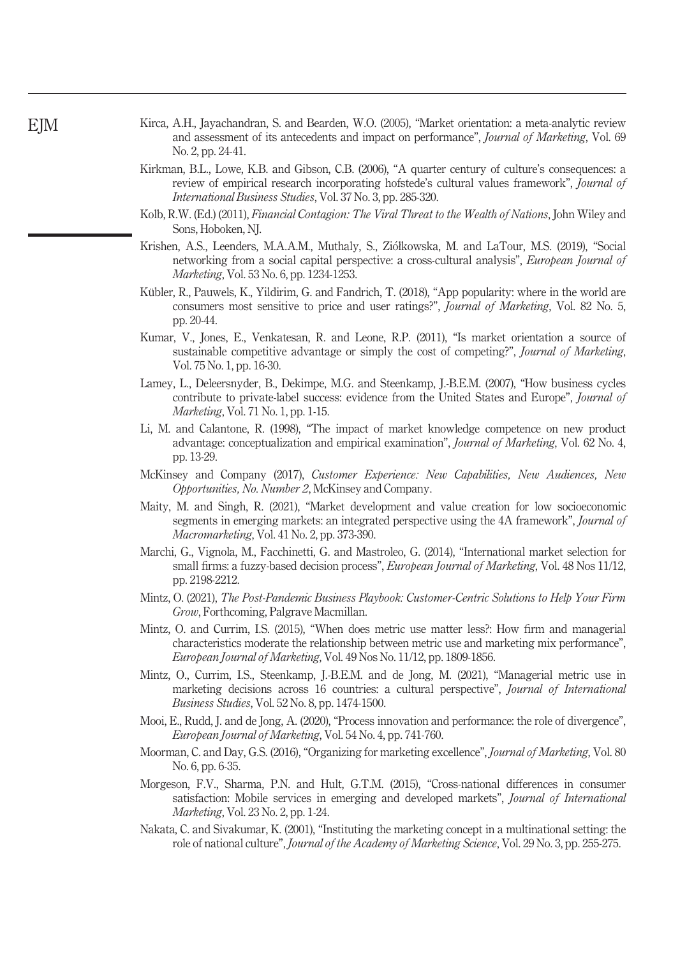- <span id="page-25-1"></span>Kirca, A.H., Jayachandran, S. and Bearden, W.O. (2005), "Market orientation: a meta-analytic review and assessment of its antecedents and impact on performance", Journal of Marketing, Vol. 69 No. 2, pp. 24-41.
- <span id="page-25-7"></span>Kirkman, B.L., Lowe, K.B. and Gibson, C.B. (2006), "A quarter century of culture's consequences: a review of empirical research incorporating hofstede's cultural values framework", Journal of International Business Studies, Vol. 37 No. 3, pp. 285-320.
- <span id="page-25-13"></span>Kolb, R.W. (Ed.) (2011), *Financial Contagion: The Viral Threat to the Wealth of Nations*, John Wiley and Sons, Hoboken, NJ.
- <span id="page-25-17"></span>Krishen, A.S., Leenders, M.A.A.M., Muthaly, S., Ziołkowska, M. and LaTour, M.S. (2019), "Social networking from a social capital perspective: a cross-cultural analysis", *European Journal of* Marketing, Vol. 53 No. 6, pp. 1234-1253.
- <span id="page-25-10"></span>Kübler, R., Pauwels, K., Yildirim, G. and Fandrich, T. (2018), "App popularity: where in the world are consumers most sensitive to price and user ratings?", Journal of Marketing, Vol. 82 No. 5, pp. 20-44.
- <span id="page-25-11"></span>Kumar, V., Jones, E., Venkatesan, R. and Leone, R.P. (2011), "Is market orientation a source of sustainable competitive advantage or simply the cost of competing?", *Journal of Marketing*, Vol. 75 No. 1, pp. 16-30.
- <span id="page-25-15"></span>Lamey, L., Deleersnyder, B., Dekimpe, M.G. and Steenkamp, J.-B.E.M. (2007), "How business cycles contribute to private-label success: evidence from the United States and Europe", *Journal of* Marketing, Vol. 71 No. 1, pp. 1-15.
- <span id="page-25-12"></span>Li, M. and Calantone, R. (1998), "The impact of market knowledge competence on new product advantage: conceptualization and empirical examination", Journal of Marketing, Vol. 62 No. 4, pp. 13-29.
- <span id="page-25-3"></span>McKinsey and Company (2017), Customer Experience: New Capabilities, New Audiences, New Opportunities, No. Number 2, McKinsey and Company.
- <span id="page-25-4"></span>Maity, M. and Singh, R. (2021), "Market development and value creation for low socioeconomic segments in emerging markets: an integrated perspective using the 4A framework", Journal of Macromarketing, Vol. 41 No. 2, pp. 373-390.
- <span id="page-25-2"></span>Marchi, G., Vignola, M., Facchinetti, G. and Mastroleo, G. (2014), "International market selection for small firms: a fuzzy-based decision process", European Journal of Marketing, Vol. 48 Nos 11/12, pp. 2198-2212.
- <span id="page-25-14"></span>Mintz, O. (2021), The Post-Pandemic Business Playbook: Customer-Centric Solutions to Help Your Firm Grow, Forthcoming, Palgrave Macmillan.
- <span id="page-25-9"></span>Mintz, O. and Currim, I.S. (2015), "When does metric use matter less?: How firm and managerial characteristics moderate the relationship between metric use and marketing mix performance", European Journal of Marketing, Vol. 49 Nos No. 11/12, pp. 1809-1856.
- <span id="page-25-5"></span>Mintz, O., Currim, I.S., Steenkamp, J.-B.E.M. and de Jong, M. (2021), "Managerial metric use in marketing decisions across 16 countries: a cultural perspective", Journal of International Business Studies, Vol. 52 No. 8, pp. 1474-1500.
- <span id="page-25-16"></span>Mooi, E., Rudd, J. and de Jong, A. (2020), "Process innovation and performance: the role of divergence", European Journal of Marketing, Vol. 54 No. 4, pp. 741-760.
- <span id="page-25-8"></span>Moorman, C. and Day, G.S. (2016), "Organizing for marketing excellence", Journal of Marketing, Vol. 80 No. 6, pp. 6-35.
- <span id="page-25-0"></span>Morgeson, F.V., Sharma, P.N. and Hult, G.T.M. (2015), "Cross-national differences in consumer satisfaction: Mobile services in emerging and developed markets", *Journal of International* Marketing, Vol. 23 No. 2, pp. 1-24.
- <span id="page-25-6"></span>Nakata, C. and Sivakumar, K. (2001), "Instituting the marketing concept in a multinational setting: the role of national culture", Journal of the Academy of Marketing Science, Vol. 29 No. 3, pp. 255-275.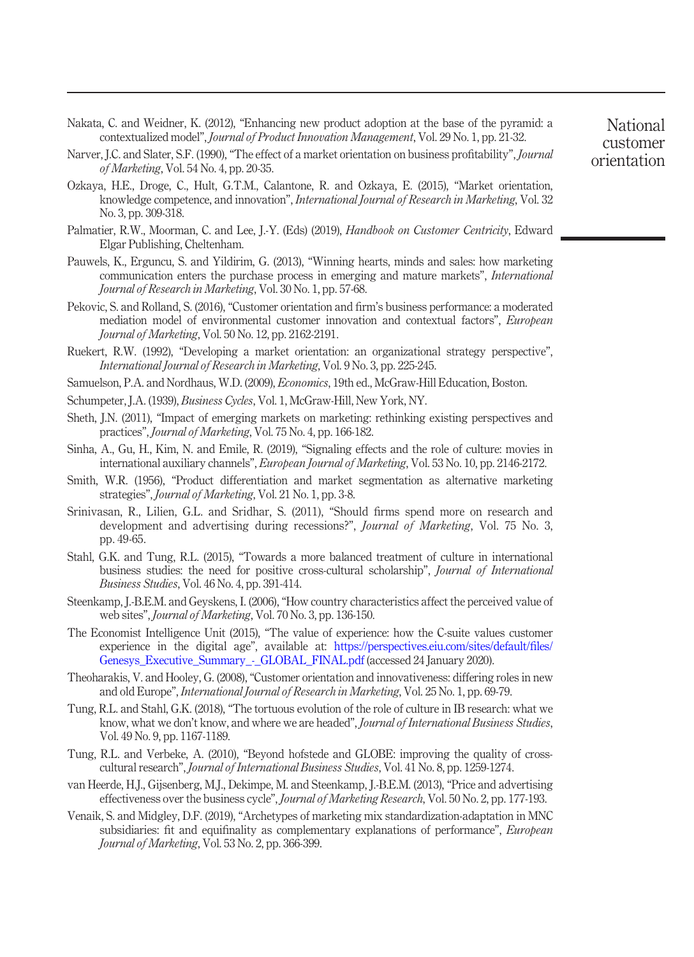- <span id="page-26-3"></span>Nakata, C. and Weidner, K. (2012), "Enhancing new product adoption at the base of the pyramid: a contextualized model", Journal of Product Innovation Management, Vol. 29 No. 1, pp. 21-32.
- <span id="page-26-9"></span>Narver, J.C. and Slater, S.F. (1990), "The effect of a market orientation on business profitability", *Journal* of Marketing, Vol. 54 No. 4, pp. 20-35.
- <span id="page-26-4"></span>Ozkaya, H.E., Droge, C., Hult, G.T.M., Calantone, R. and Ozkaya, E. (2015), "Market orientation, knowledge competence, and innovation", International Journal of Research in Marketing, Vol. 32 No. 3, pp. 309-318.
- <span id="page-26-1"></span>Palmatier, R.W., Moorman, C. and Lee, J.-Y. (Eds) (2019), Handbook on Customer Centricity, Edward Elgar Publishing, Cheltenham.
- <span id="page-26-16"></span>Pauwels, K., Erguncu, S. and Yildirim, G. (2013), "Winning hearts, minds and sales: how marketing communication enters the purchase process in emerging and mature markets", International Journal of Research in Marketing, Vol. 30 No. 1, pp. 57-68.
- <span id="page-26-0"></span>Pekovic, S. and Rolland, S. (2016), "Customer orientation and firm's business performance: a moderated mediation model of environmental customer innovation and contextual factors", European Journal of Marketing, Vol. 50 No. 12, pp. 2162-2191.
- <span id="page-26-10"></span>Ruekert, R.W. (1992), "Developing a market orientation: an organizational strategy perspective", International Journal of Research in Marketing, Vol. 9 No. 3, pp. 225-245.
- <span id="page-26-12"></span>Samuelson, P.A. and Nordhaus, W.D. (2009), *Economics*, 19th ed., McGraw-Hill Education, Boston.
- <span id="page-26-8"></span>Schumpeter, J.A. (1939), *Business Cycles*, Vol. 1, McGraw-Hill, New York, NY.
- <span id="page-26-13"></span>Sheth, J.N. (2011), "Impact of emerging markets on marketing: rethinking existing perspectives and practices", Journal of Marketing, Vol. 75 No. 4, pp. 166-182.
- <span id="page-26-18"></span>Sinha, A., Gu, H., Kim, N. and Emile, R. (2019), "Signaling effects and the role of culture: movies in international auxiliary channels", *European Journal of Marketing*, Vol. 53 No. 10, pp. 2146-2172.
- <span id="page-26-7"></span>Smith, W.R. (1956), "Product differentiation and market segmentation as alternative marketing strategies", Journal of Marketing, Vol. 21 No. 1, pp. 3-8.
- <span id="page-26-14"></span>Srinivasan, R., Lilien, G.L. and Sridhar, S. (2011), "Should firms spend more on research and development and advertising during recessions?", *Journal of Marketing*, Vol. 75 No. 3, pp. 49-65.
- <span id="page-26-19"></span>Stahl, G.K. and Tung, R.L. (2015), "Towards a more balanced treatment of culture in international business studies: the need for positive cross-cultural scholarship", Journal of International Business Studies, Vol. 46 No. 4, pp. 391-414.
- <span id="page-26-17"></span>Steenkamp, J.-B.E.M. and Geyskens, I. (2006), "How country characteristics affect the perceived value of web sites", Journal of Marketing, Vol. 70 No. 3, pp. 136-150.
- <span id="page-26-11"></span>The Economist Intelligence Unit (2015), "The value of experience: how the C-suite values customer experience in the digital age", available at: [https://perspectives.eiu.com/sites/default/](https://perspectives.eiu.com/sites/default/files/Genesys_Executive_Summary_-_GLOBAL_FINAL.pdf)files/ Genesys\_Executive\_Summary -\_GLOBAL\_FINAL.pdf (accessed 24 January 2020).
- <span id="page-26-5"></span>Theoharakis, V. and Hooley, G. (2008), "Customer orientation and innovativeness: differing roles in new and old Europe", International Journal of Research in Marketing, Vol. 25 No. 1, pp. 69-79.
- <span id="page-26-6"></span>Tung, R.L. and Stahl, G.K. (2018), "The tortuous evolution of the role of culture in IB research: what we know, what we don't know, and where we are headed", Journal of International Business Studies, Vol. 49 No. 9, pp. 1167-1189.
- <span id="page-26-20"></span>Tung, R.L. and Verbeke, A. (2010), "Beyond hofstede and GLOBE: improving the quality of crosscultural research", Journal of International Business Studies, Vol. 41 No. 8, pp. 1259-1274.
- <span id="page-26-15"></span>van Heerde, H.J., Gijsenberg, M.J., Dekimpe, M. and Steenkamp, J.-B.E.M. (2013), "Price and advertising effectiveness over the business cycle", Journal of Marketing Research, Vol. 50 No. 2, pp. 177-193.
- <span id="page-26-2"></span>Venaik, S. and Midgley, D.F. (2019), "Archetypes of marketing mix standardization-adaptation in MNC subsidiaries: fit and equifinality as complementary explanations of performance", *European* Journal of Marketing, Vol. 53 No. 2, pp. 366-399.